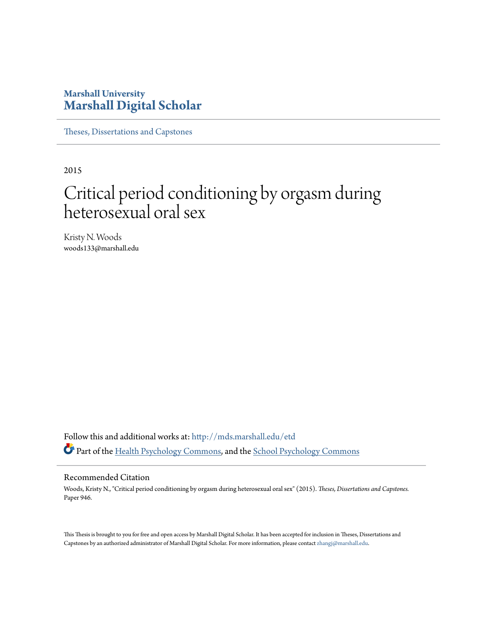## **Marshall University [Marshall Digital Scholar](http://mds.marshall.edu?utm_source=mds.marshall.edu%2Fetd%2F946&utm_medium=PDF&utm_campaign=PDFCoverPages)**

[Theses, Dissertations and Capstones](http://mds.marshall.edu/etd?utm_source=mds.marshall.edu%2Fetd%2F946&utm_medium=PDF&utm_campaign=PDFCoverPages)

2015

# Critical period conditioning by orgasm during heterosexual oral sex

Kristy N. Woods woods133@marshall.edu

Follow this and additional works at: [http://mds.marshall.edu/etd](http://mds.marshall.edu/etd?utm_source=mds.marshall.edu%2Fetd%2F946&utm_medium=PDF&utm_campaign=PDFCoverPages) Part of the [Health Psychology Commons](http://network.bepress.com/hgg/discipline/411?utm_source=mds.marshall.edu%2Fetd%2F946&utm_medium=PDF&utm_campaign=PDFCoverPages), and the [School Psychology Commons](http://network.bepress.com/hgg/discipline/1072?utm_source=mds.marshall.edu%2Fetd%2F946&utm_medium=PDF&utm_campaign=PDFCoverPages)

#### Recommended Citation

Woods, Kristy N., "Critical period conditioning by orgasm during heterosexual oral sex" (2015). *Theses, Dissertations and Capstones.* Paper 946.

This Thesis is brought to you for free and open access by Marshall Digital Scholar. It has been accepted for inclusion in Theses, Dissertations and Capstones by an authorized administrator of Marshall Digital Scholar. For more information, please contact [zhangj@marshall.edu.](mailto:zhangj@marshall.edu)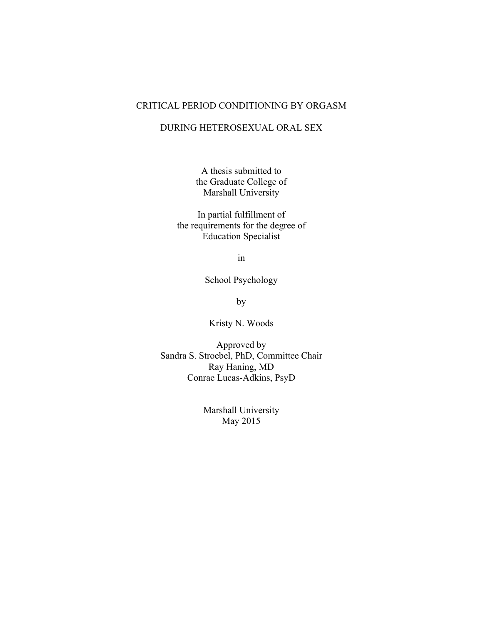### CRITICAL PERIOD CONDITIONING BY ORGASM

#### DURING HETEROSEXUAL ORAL SEX

A thesis submitted to the Graduate College of Marshall University

In partial fulfillment of the requirements for the degree of Education Specialist

in

School Psychology

by

Kristy N. Woods

Approved by Sandra S. Stroebel, PhD, Committee Chair Ray Haning, MD Conrae Lucas-Adkins, PsyD

> Marshall University May 2015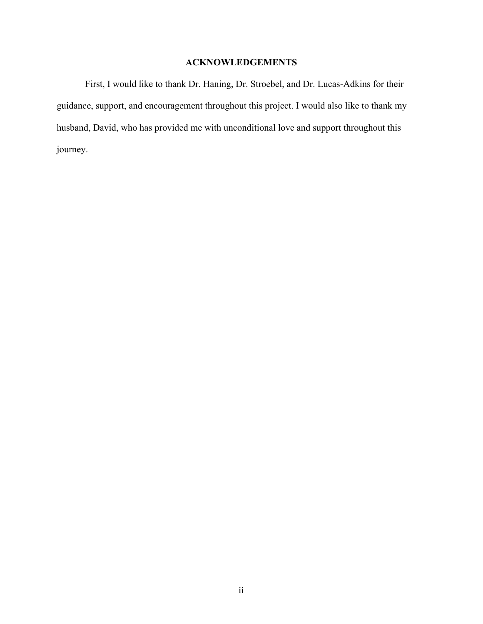## **ACKNOWLEDGEMENTS**

First, I would like to thank Dr. Haning, Dr. Stroebel, and Dr. Lucas-Adkins for their guidance, support, and encouragement throughout this project. I would also like to thank my husband, David, who has provided me with unconditional love and support throughout this journey.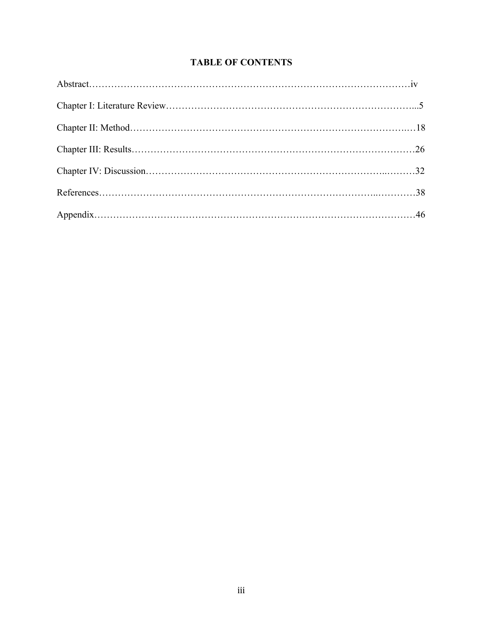## **TABLE OF CONTENTS**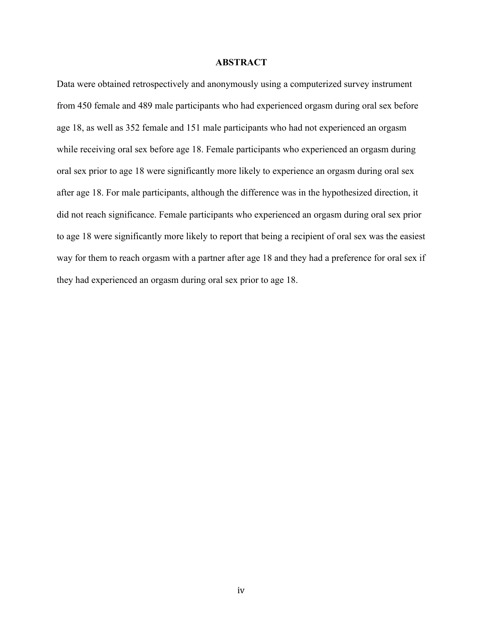#### **ABSTRACT**

Data were obtained retrospectively and anonymously using a computerized survey instrument from 450 female and 489 male participants who had experienced orgasm during oral sex before age 18, as well as 352 female and 151 male participants who had not experienced an orgasm while receiving oral sex before age 18. Female participants who experienced an orgasm during oral sex prior to age 18 were significantly more likely to experience an orgasm during oral sex after age 18. For male participants, although the difference was in the hypothesized direction, it did not reach significance. Female participants who experienced an orgasm during oral sex prior to age 18 were significantly more likely to report that being a recipient of oral sex was the easiest way for them to reach orgasm with a partner after age 18 and they had a preference for oral sex if they had experienced an orgasm during oral sex prior to age 18.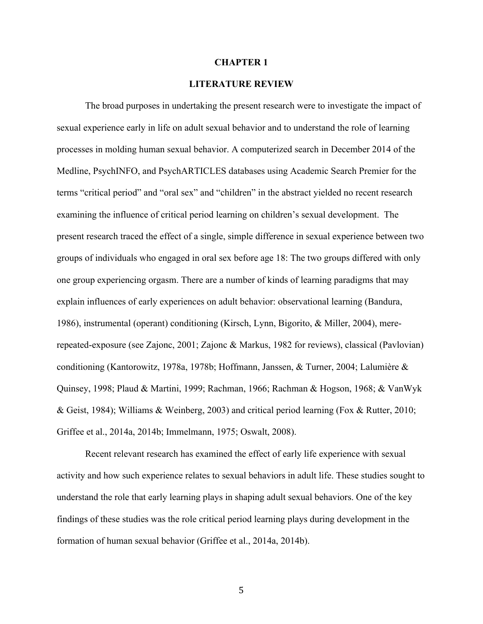#### **CHAPTER 1**

#### **LITERATURE REVIEW**

The broad purposes in undertaking the present research were to investigate the impact of sexual experience early in life on adult sexual behavior and to understand the role of learning processes in molding human sexual behavior. A computerized search in December 2014 of the Medline, PsychINFO, and PsychARTICLES databases using Academic Search Premier for the terms "critical period" and "oral sex" and "children" in the abstract yielded no recent research examining the influence of critical period learning on children's sexual development. The present research traced the effect of a single, simple difference in sexual experience between two groups of individuals who engaged in oral sex before age 18: The two groups differed with only one group experiencing orgasm. There are a number of kinds of learning paradigms that may explain influences of early experiences on adult behavior: observational learning (Bandura, 1986), instrumental (operant) conditioning (Kirsch, Lynn, Bigorito, & Miller, 2004), mererepeated-exposure (see Zajonc, 2001; Zajonc & Markus, 1982 for reviews), classical (Pavlovian) conditioning (Kantorowitz, 1978a, 1978b; Hoffmann, Janssen, & Turner, 2004; Lalumière & Quinsey, 1998; Plaud & Martini, 1999; Rachman, 1966; Rachman & Hogson, 1968; & VanWyk & Geist, 1984); Williams & Weinberg, 2003) and critical period learning (Fox & Rutter, 2010; Griffee et al., 2014a, 2014b; Immelmann, 1975; Oswalt, 2008).

Recent relevant research has examined the effect of early life experience with sexual activity and how such experience relates to sexual behaviors in adult life. These studies sought to understand the role that early learning plays in shaping adult sexual behaviors. One of the key findings of these studies was the role critical period learning plays during development in the formation of human sexual behavior (Griffee et al., 2014a, 2014b).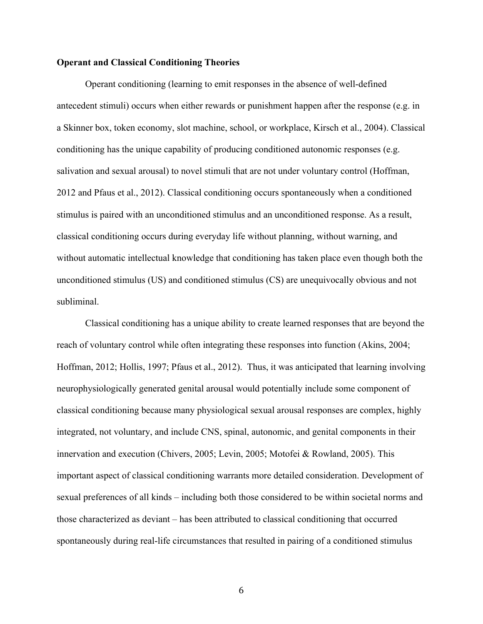#### **Operant and Classical Conditioning Theories**

Operant conditioning (learning to emit responses in the absence of well-defined antecedent stimuli) occurs when either rewards or punishment happen after the response (e.g. in a Skinner box, token economy, slot machine, school, or workplace, Kirsch et al., 2004). Classical conditioning has the unique capability of producing conditioned autonomic responses (e.g. salivation and sexual arousal) to novel stimuli that are not under voluntary control (Hoffman, 2012 and Pfaus et al., 2012). Classical conditioning occurs spontaneously when a conditioned stimulus is paired with an unconditioned stimulus and an unconditioned response. As a result, classical conditioning occurs during everyday life without planning, without warning, and without automatic intellectual knowledge that conditioning has taken place even though both the unconditioned stimulus (US) and conditioned stimulus (CS) are unequivocally obvious and not subliminal.

Classical conditioning has a unique ability to create learned responses that are beyond the reach of voluntary control while often integrating these responses into function (Akins, 2004; Hoffman, 2012; Hollis, 1997; Pfaus et al., 2012). Thus, it was anticipated that learning involving neurophysiologically generated genital arousal would potentially include some component of classical conditioning because many physiological sexual arousal responses are complex, highly integrated, not voluntary, and include CNS, spinal, autonomic, and genital components in their innervation and execution (Chivers, 2005; Levin, 2005; Motofei & Rowland, 2005). This important aspect of classical conditioning warrants more detailed consideration. Development of sexual preferences of all kinds – including both those considered to be within societal norms and those characterized as deviant – has been attributed to classical conditioning that occurred spontaneously during real-life circumstances that resulted in pairing of a conditioned stimulus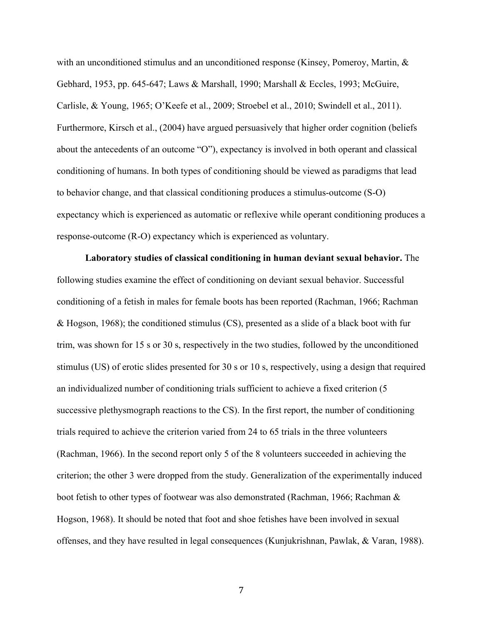with an unconditioned stimulus and an unconditioned response (Kinsey, Pomeroy, Martin,  $\&$ Gebhard, 1953, pp. 645-647; Laws & Marshall, 1990; Marshall & Eccles, 1993; McGuire, Carlisle, & Young, 1965; O'Keefe et al., 2009; Stroebel et al., 2010; Swindell et al., 2011). Furthermore, Kirsch et al., (2004) have argued persuasively that higher order cognition (beliefs about the antecedents of an outcome "O"), expectancy is involved in both operant and classical conditioning of humans. In both types of conditioning should be viewed as paradigms that lead to behavior change, and that classical conditioning produces a stimulus-outcome (S-O) expectancy which is experienced as automatic or reflexive while operant conditioning produces a response-outcome (R-O) expectancy which is experienced as voluntary.

**Laboratory studies of classical conditioning in human deviant sexual behavior.** The following studies examine the effect of conditioning on deviant sexual behavior. Successful conditioning of a fetish in males for female boots has been reported (Rachman, 1966; Rachman & Hogson, 1968); the conditioned stimulus (CS), presented as a slide of a black boot with fur trim, was shown for 15 s or 30 s, respectively in the two studies, followed by the unconditioned stimulus (US) of erotic slides presented for 30 s or 10 s, respectively, using a design that required an individualized number of conditioning trials sufficient to achieve a fixed criterion (5 successive plethysmograph reactions to the CS). In the first report, the number of conditioning trials required to achieve the criterion varied from 24 to 65 trials in the three volunteers (Rachman, 1966). In the second report only 5 of the 8 volunteers succeeded in achieving the criterion; the other 3 were dropped from the study. Generalization of the experimentally induced boot fetish to other types of footwear was also demonstrated (Rachman, 1966; Rachman & Hogson, 1968). It should be noted that foot and shoe fetishes have been involved in sexual offenses, and they have resulted in legal consequences (Kunjukrishnan, Pawlak, & Varan, 1988).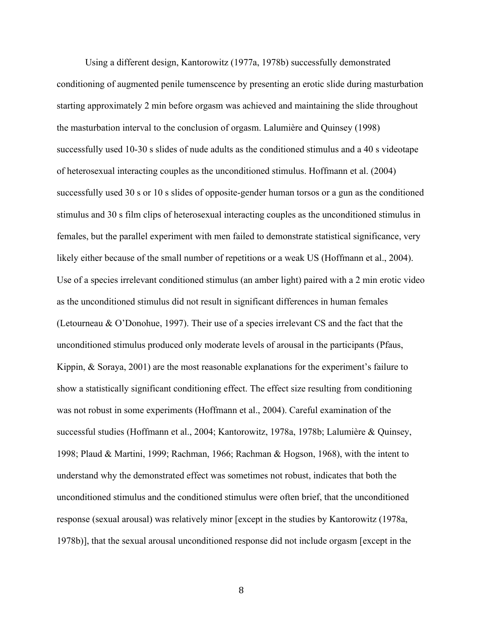Using a different design, Kantorowitz (1977a, 1978b) successfully demonstrated conditioning of augmented penile tumenscence by presenting an erotic slide during masturbation starting approximately 2 min before orgasm was achieved and maintaining the slide throughout the masturbation interval to the conclusion of orgasm. Lalumière and Quinsey (1998) successfully used 10-30 s slides of nude adults as the conditioned stimulus and a 40 s videotape of heterosexual interacting couples as the unconditioned stimulus. Hoffmann et al. (2004) successfully used 30 s or 10 s slides of opposite-gender human torsos or a gun as the conditioned stimulus and 30 s film clips of heterosexual interacting couples as the unconditioned stimulus in females, but the parallel experiment with men failed to demonstrate statistical significance, very likely either because of the small number of repetitions or a weak US (Hoffmann et al., 2004). Use of a species irrelevant conditioned stimulus (an amber light) paired with a 2 min erotic video as the unconditioned stimulus did not result in significant differences in human females (Letourneau & O'Donohue, 1997). Their use of a species irrelevant CS and the fact that the unconditioned stimulus produced only moderate levels of arousal in the participants (Pfaus, Kippin, & Soraya, 2001) are the most reasonable explanations for the experiment's failure to show a statistically significant conditioning effect. The effect size resulting from conditioning was not robust in some experiments (Hoffmann et al., 2004). Careful examination of the successful studies (Hoffmann et al., 2004; Kantorowitz, 1978a, 1978b; Lalumière & Quinsey, 1998; Plaud & Martini, 1999; Rachman, 1966; Rachman & Hogson, 1968), with the intent to understand why the demonstrated effect was sometimes not robust, indicates that both the unconditioned stimulus and the conditioned stimulus were often brief, that the unconditioned response (sexual arousal) was relatively minor [except in the studies by Kantorowitz (1978a, 1978b)], that the sexual arousal unconditioned response did not include orgasm [except in the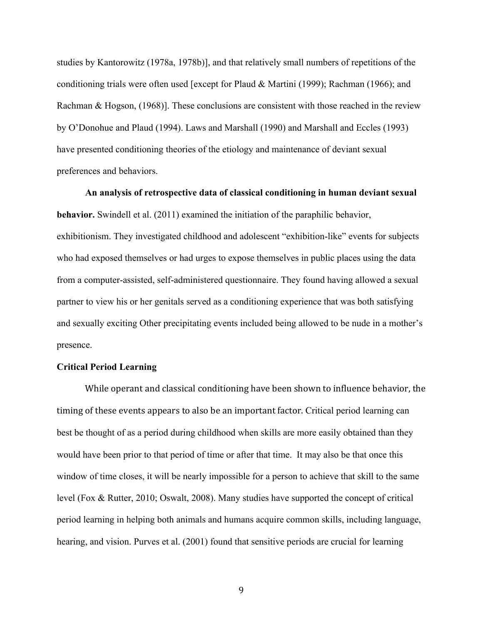studies by Kantorowitz (1978a, 1978b)], and that relatively small numbers of repetitions of the conditioning trials were often used [except for Plaud & Martini (1999); Rachman (1966); and Rachman & Hogson, (1968)]. These conclusions are consistent with those reached in the review by O'Donohue and Plaud (1994). Laws and Marshall (1990) and Marshall and Eccles (1993) have presented conditioning theories of the etiology and maintenance of deviant sexual preferences and behaviors.

**An analysis of retrospective data of classical conditioning in human deviant sexual behavior.** Swindell et al. (2011) examined the initiation of the paraphilic behavior, exhibitionism. They investigated childhood and adolescent "exhibition-like" events for subjects who had exposed themselves or had urges to expose themselves in public places using the data from a computer-assisted, self-administered questionnaire. They found having allowed a sexual partner to view his or her genitals served as a conditioning experience that was both satisfying and sexually exciting Other precipitating events included being allowed to be nude in a mother's presence.

#### **Critical Period Learning**

While operant and classical conditioning have been shown to influence behavior, the timing of these events appears to also be an important factor. Critical period learning can best be thought of as a period during childhood when skills are more easily obtained than they would have been prior to that period of time or after that time. It may also be that once this window of time closes, it will be nearly impossible for a person to achieve that skill to the same level (Fox & Rutter, 2010; Oswalt, 2008). Many studies have supported the concept of critical period learning in helping both animals and humans acquire common skills, including language, hearing, and vision. Purves et al. (2001) found that sensitive periods are crucial for learning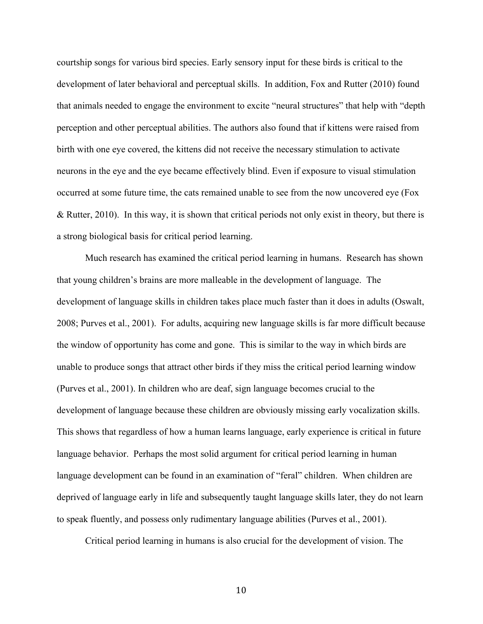courtship songs for various bird species. Early sensory input for these birds is critical to the development of later behavioral and perceptual skills. In addition, Fox and Rutter (2010) found that animals needed to engage the environment to excite "neural structures" that help with "depth perception and other perceptual abilities. The authors also found that if kittens were raised from birth with one eye covered, the kittens did not receive the necessary stimulation to activate neurons in the eye and the eye became effectively blind. Even if exposure to visual stimulation occurred at some future time, the cats remained unable to see from the now uncovered eye (Fox & Rutter, 2010). In this way, it is shown that critical periods not only exist in theory, but there is a strong biological basis for critical period learning.

Much research has examined the critical period learning in humans. Research has shown that young children's brains are more malleable in the development of language. The development of language skills in children takes place much faster than it does in adults (Oswalt, 2008; Purves et al., 2001). For adults, acquiring new language skills is far more difficult because the window of opportunity has come and gone. This is similar to the way in which birds are unable to produce songs that attract other birds if they miss the critical period learning window (Purves et al., 2001). In children who are deaf, sign language becomes crucial to the development of language because these children are obviously missing early vocalization skills. This shows that regardless of how a human learns language, early experience is critical in future language behavior. Perhaps the most solid argument for critical period learning in human language development can be found in an examination of "feral" children. When children are deprived of language early in life and subsequently taught language skills later, they do not learn to speak fluently, and possess only rudimentary language abilities (Purves et al., 2001).

Critical period learning in humans is also crucial for the development of vision. The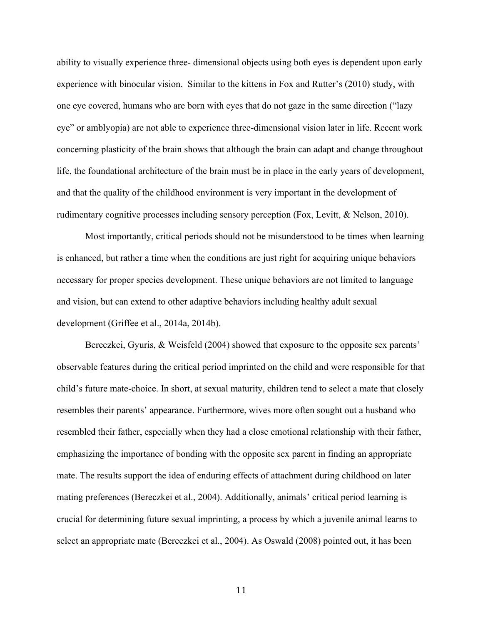ability to visually experience three- dimensional objects using both eyes is dependent upon early experience with binocular vision. Similar to the kittens in Fox and Rutter's (2010) study, with one eye covered, humans who are born with eyes that do not gaze in the same direction ("lazy eye" or amblyopia) are not able to experience three-dimensional vision later in life. Recent work concerning plasticity of the brain shows that although the brain can adapt and change throughout life, the foundational architecture of the brain must be in place in the early years of development, and that the quality of the childhood environment is very important in the development of rudimentary cognitive processes including sensory perception (Fox, Levitt, & Nelson, 2010).

Most importantly, critical periods should not be misunderstood to be times when learning is enhanced, but rather a time when the conditions are just right for acquiring unique behaviors necessary for proper species development. These unique behaviors are not limited to language and vision, but can extend to other adaptive behaviors including healthy adult sexual development (Griffee et al., 2014a, 2014b).

Bereczkei, Gyuris, & Weisfeld (2004) showed that exposure to the opposite sex parents' observable features during the critical period imprinted on the child and were responsible for that child's future mate-choice. In short, at sexual maturity, children tend to select a mate that closely resembles their parents' appearance. Furthermore, wives more often sought out a husband who resembled their father, especially when they had a close emotional relationship with their father, emphasizing the importance of bonding with the opposite sex parent in finding an appropriate mate. The results support the idea of enduring effects of attachment during childhood on later mating preferences (Bereczkei et al., 2004). Additionally, animals' critical period learning is crucial for determining future sexual imprinting, a process by which a juvenile animal learns to select an appropriate mate (Bereczkei et al., 2004). As Oswald (2008) pointed out, it has been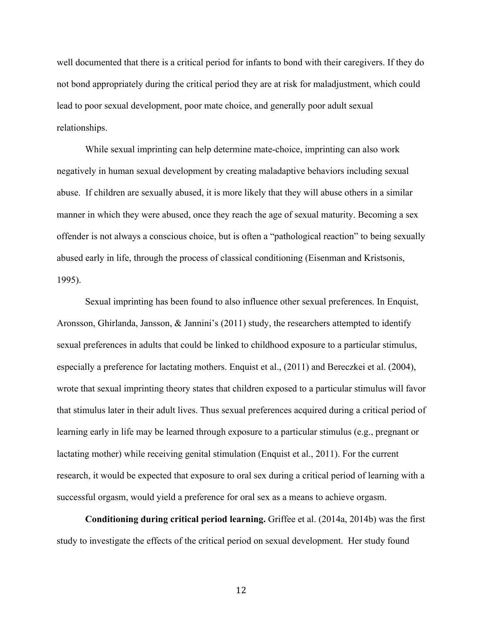well documented that there is a critical period for infants to bond with their caregivers. If they do not bond appropriately during the critical period they are at risk for maladjustment, which could lead to poor sexual development, poor mate choice, and generally poor adult sexual relationships.

While sexual imprinting can help determine mate-choice, imprinting can also work negatively in human sexual development by creating maladaptive behaviors including sexual abuse. If children are sexually abused, it is more likely that they will abuse others in a similar manner in which they were abused, once they reach the age of sexual maturity. Becoming a sex offender is not always a conscious choice, but is often a "pathological reaction" to being sexually abused early in life, through the process of classical conditioning (Eisenman and Kristsonis, 1995).

Sexual imprinting has been found to also influence other sexual preferences. In Enquist, Aronsson, Ghirlanda, Jansson, & Jannini's (2011) study, the researchers attempted to identify sexual preferences in adults that could be linked to childhood exposure to a particular stimulus, especially a preference for lactating mothers. Enquist et al., (2011) and Bereczkei et al. (2004), wrote that sexual imprinting theory states that children exposed to a particular stimulus will favor that stimulus later in their adult lives. Thus sexual preferences acquired during a critical period of learning early in life may be learned through exposure to a particular stimulus (e.g., pregnant or lactating mother) while receiving genital stimulation (Enquist et al., 2011). For the current research, it would be expected that exposure to oral sex during a critical period of learning with a successful orgasm, would yield a preference for oral sex as a means to achieve orgasm.

**Conditioning during critical period learning.** Griffee et al. (2014a, 2014b) was the first study to investigate the effects of the critical period on sexual development. Her study found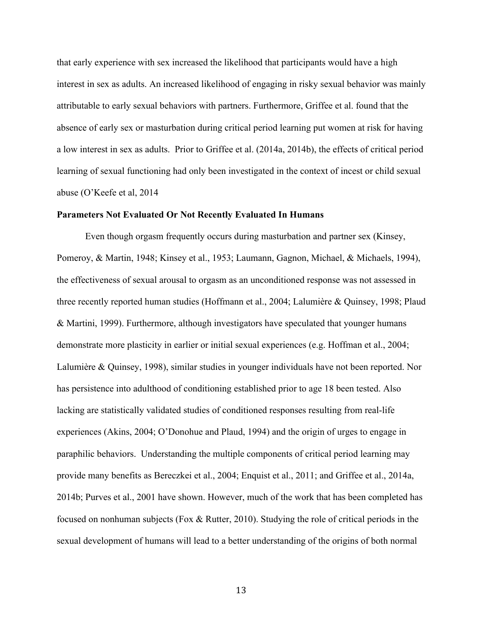that early experience with sex increased the likelihood that participants would have a high interest in sex as adults. An increased likelihood of engaging in risky sexual behavior was mainly attributable to early sexual behaviors with partners. Furthermore, Griffee et al. found that the absence of early sex or masturbation during critical period learning put women at risk for having a low interest in sex as adults. Prior to Griffee et al. (2014a, 2014b), the effects of critical period learning of sexual functioning had only been investigated in the context of incest or child sexual abuse (O'Keefe et al, 2014

#### **Parameters Not Evaluated Or Not Recently Evaluated In Humans**

Even though orgasm frequently occurs during masturbation and partner sex (Kinsey, Pomeroy, & Martin, 1948; Kinsey et al., 1953; Laumann, Gagnon, Michael, & Michaels, 1994), the effectiveness of sexual arousal to orgasm as an unconditioned response was not assessed in three recently reported human studies (Hoffmann et al., 2004; Lalumière & Quinsey, 1998; Plaud & Martini, 1999). Furthermore, although investigators have speculated that younger humans demonstrate more plasticity in earlier or initial sexual experiences (e.g. Hoffman et al., 2004; Lalumière & Quinsey, 1998), similar studies in younger individuals have not been reported. Nor has persistence into adulthood of conditioning established prior to age 18 been tested. Also lacking are statistically validated studies of conditioned responses resulting from real-life experiences (Akins, 2004; O'Donohue and Plaud, 1994) and the origin of urges to engage in paraphilic behaviors. Understanding the multiple components of critical period learning may provide many benefits as Bereczkei et al., 2004; Enquist et al., 2011; and Griffee et al., 2014a, 2014b; Purves et al., 2001 have shown. However, much of the work that has been completed has focused on nonhuman subjects (Fox & Rutter, 2010). Studying the role of critical periods in the sexual development of humans will lead to a better understanding of the origins of both normal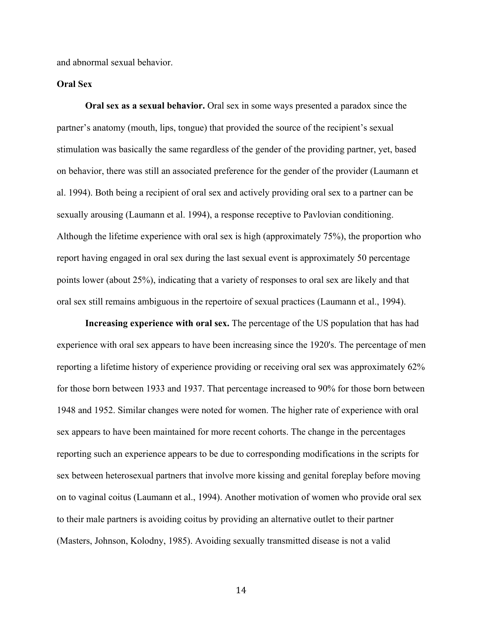and abnormal sexual behavior.

#### **Oral Sex**

**Oral sex as a sexual behavior.** Oral sex in some ways presented a paradox since the partner's anatomy (mouth, lips, tongue) that provided the source of the recipient's sexual stimulation was basically the same regardless of the gender of the providing partner, yet, based on behavior, there was still an associated preference for the gender of the provider (Laumann et al. 1994). Both being a recipient of oral sex and actively providing oral sex to a partner can be sexually arousing (Laumann et al. 1994), a response receptive to Pavlovian conditioning. Although the lifetime experience with oral sex is high (approximately 75%), the proportion who report having engaged in oral sex during the last sexual event is approximately 50 percentage points lower (about 25%), indicating that a variety of responses to oral sex are likely and that oral sex still remains ambiguous in the repertoire of sexual practices (Laumann et al., 1994).

**Increasing experience with oral sex.** The percentage of the US population that has had experience with oral sex appears to have been increasing since the 1920's. The percentage of men reporting a lifetime history of experience providing or receiving oral sex was approximately 62% for those born between 1933 and 1937. That percentage increased to 90% for those born between 1948 and 1952. Similar changes were noted for women. The higher rate of experience with oral sex appears to have been maintained for more recent cohorts. The change in the percentages reporting such an experience appears to be due to corresponding modifications in the scripts for sex between heterosexual partners that involve more kissing and genital foreplay before moving on to vaginal coitus (Laumann et al., 1994). Another motivation of women who provide oral sex to their male partners is avoiding coitus by providing an alternative outlet to their partner (Masters, Johnson, Kolodny, 1985). Avoiding sexually transmitted disease is not a valid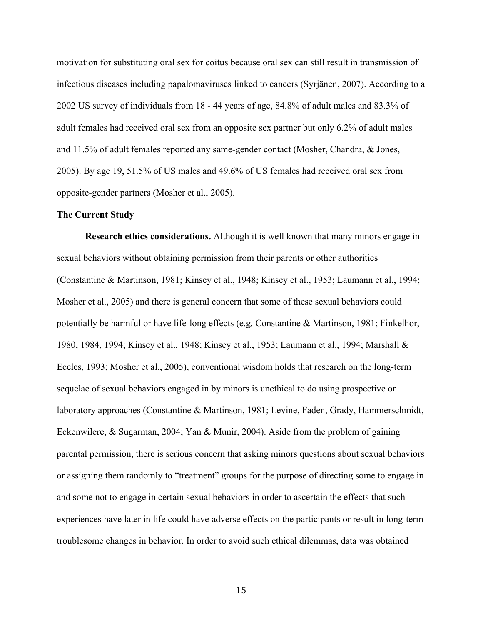motivation for substituting oral sex for coitus because oral sex can still result in transmission of infectious diseases including papalomaviruses linked to cancers (Syrjänen, 2007). According to a 2002 US survey of individuals from 18 - 44 years of age, 84.8% of adult males and 83.3% of adult females had received oral sex from an opposite sex partner but only 6.2% of adult males and 11.5% of adult females reported any same-gender contact (Mosher, Chandra, & Jones, 2005). By age 19, 51.5% of US males and 49.6% of US females had received oral sex from opposite-gender partners (Mosher et al., 2005).

#### **The Current Study**

**Research ethics considerations.** Although it is well known that many minors engage in sexual behaviors without obtaining permission from their parents or other authorities (Constantine & Martinson, 1981; Kinsey et al., 1948; Kinsey et al., 1953; Laumann et al., 1994; Mosher et al., 2005) and there is general concern that some of these sexual behaviors could potentially be harmful or have life-long effects (e.g. Constantine & Martinson, 1981; Finkelhor, 1980, 1984, 1994; Kinsey et al., 1948; Kinsey et al., 1953; Laumann et al., 1994; Marshall & Eccles, 1993; Mosher et al., 2005), conventional wisdom holds that research on the long-term sequelae of sexual behaviors engaged in by minors is unethical to do using prospective or laboratory approaches (Constantine & Martinson, 1981; Levine, Faden, Grady, Hammerschmidt, Eckenwilere, & Sugarman, 2004; Yan & Munir, 2004). Aside from the problem of gaining parental permission, there is serious concern that asking minors questions about sexual behaviors or assigning them randomly to "treatment" groups for the purpose of directing some to engage in and some not to engage in certain sexual behaviors in order to ascertain the effects that such experiences have later in life could have adverse effects on the participants or result in long-term troublesome changes in behavior. In order to avoid such ethical dilemmas, data was obtained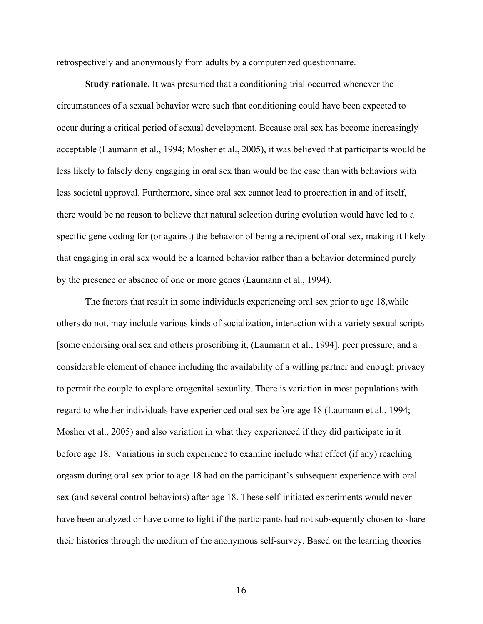retrospectively and anonymously from adults by a computerized questionnaire.

**Study rationale.** It was presumed that a conditioning trial occurred whenever the circumstances of a sexual behavior were such that conditioning could have been expected to occur during a critical period of sexual development. Because oral sex has become increasingly acceptable (Laumann et al., 1994; Mosher et al., 2005), it was believed that participants would be less likely to falsely deny engaging in oral sex than would be the case than with behaviors with less societal approval. Furthermore, since oral sex cannot lead to procreation in and of itself, there would be no reason to believe that natural selection during evolution would have led to a specific gene coding for (or against) the behavior of being a recipient of oral sex, making it likely that engaging in oral sex would be a learned behavior rather than a behavior determined purely by the presence or absence of one or more genes (Laumann et al., 1994).

The factors that result in some individuals experiencing oral sex prior to age 18,while others do not, may include various kinds of socialization, interaction with a variety sexual scripts [some endorsing oral sex and others proscribing it, (Laumann et al., 1994], peer pressure, and a considerable element of chance including the availability of a willing partner and enough privacy to permit the couple to explore orogenital sexuality. There is variation in most populations with regard to whether individuals have experienced oral sex before age 18 (Laumann et al., 1994; Mosher et al., 2005) and also variation in what they experienced if they did participate in it before age 18. Variations in such experience to examine include what effect (if any) reaching orgasm during oral sex prior to age 18 had on the participant's subsequent experience with oral sex (and several control behaviors) after age 18. These self-initiated experiments would never have been analyzed or have come to light if the participants had not subsequently chosen to share their histories through the medium of the anonymous self-survey. Based on the learning theories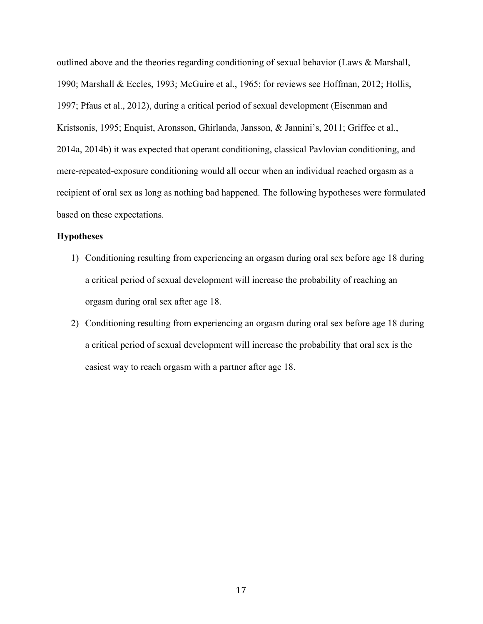outlined above and the theories regarding conditioning of sexual behavior (Laws  $\&$  Marshall, 1990; Marshall & Eccles, 1993; McGuire et al., 1965; for reviews see Hoffman, 2012; Hollis, 1997; Pfaus et al., 2012), during a critical period of sexual development (Eisenman and Kristsonis, 1995; Enquist, Aronsson, Ghirlanda, Jansson, & Jannini's, 2011; Griffee et al., 2014a, 2014b) it was expected that operant conditioning, classical Pavlovian conditioning, and mere-repeated-exposure conditioning would all occur when an individual reached orgasm as a recipient of oral sex as long as nothing bad happened. The following hypotheses were formulated based on these expectations.

#### **Hypotheses**

- 1) Conditioning resulting from experiencing an orgasm during oral sex before age 18 during a critical period of sexual development will increase the probability of reaching an orgasm during oral sex after age 18.
- 2) Conditioning resulting from experiencing an orgasm during oral sex before age 18 during a critical period of sexual development will increase the probability that oral sex is the easiest way to reach orgasm with a partner after age 18.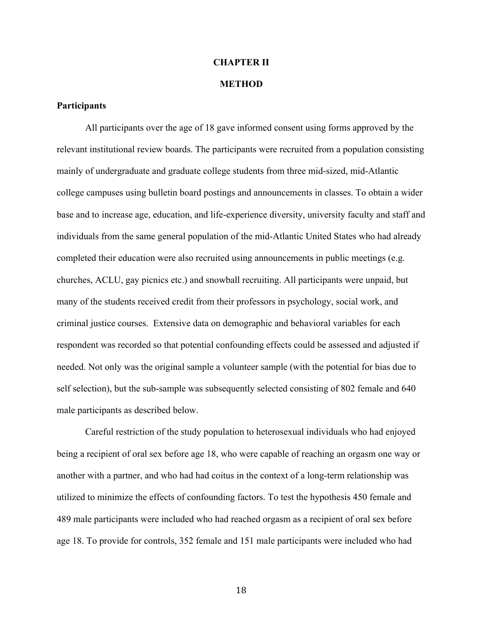## **CHAPTER II**

#### **METHOD**

#### **Participants**

All participants over the age of 18 gave informed consent using forms approved by the relevant institutional review boards. The participants were recruited from a population consisting mainly of undergraduate and graduate college students from three mid-sized, mid-Atlantic college campuses using bulletin board postings and announcements in classes. To obtain a wider base and to increase age, education, and life-experience diversity, university faculty and staff and individuals from the same general population of the mid-Atlantic United States who had already completed their education were also recruited using announcements in public meetings (e.g. churches, ACLU, gay picnics etc.) and snowball recruiting. All participants were unpaid, but many of the students received credit from their professors in psychology, social work, and criminal justice courses. Extensive data on demographic and behavioral variables for each respondent was recorded so that potential confounding effects could be assessed and adjusted if needed. Not only was the original sample a volunteer sample (with the potential for bias due to self selection), but the sub-sample was subsequently selected consisting of 802 female and 640 male participants as described below.

Careful restriction of the study population to heterosexual individuals who had enjoyed being a recipient of oral sex before age 18, who were capable of reaching an orgasm one way or another with a partner, and who had had coitus in the context of a long-term relationship was utilized to minimize the effects of confounding factors. To test the hypothesis 450 female and 489 male participants were included who had reached orgasm as a recipient of oral sex before age 18. To provide for controls, 352 female and 151 male participants were included who had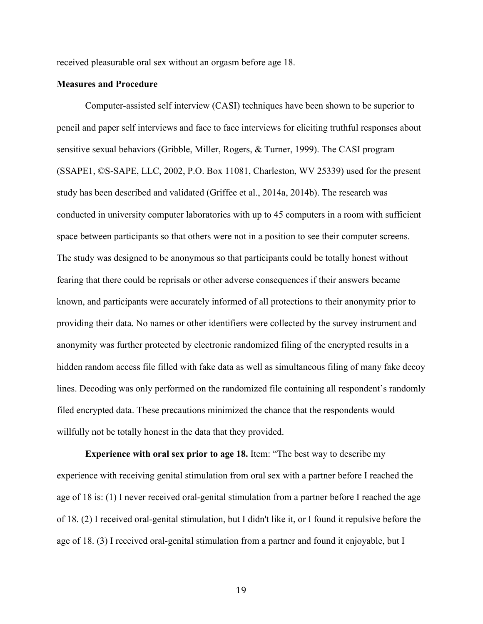received pleasurable oral sex without an orgasm before age 18.

#### **Measures and Procedure**

Computer-assisted self interview (CASI) techniques have been shown to be superior to pencil and paper self interviews and face to face interviews for eliciting truthful responses about sensitive sexual behaviors (Gribble, Miller, Rogers, & Turner, 1999). The CASI program (SSAPE1, ©S-SAPE, LLC, 2002, P.O. Box 11081, Charleston, WV 25339) used for the present study has been described and validated (Griffee et al., 2014a, 2014b). The research was conducted in university computer laboratories with up to 45 computers in a room with sufficient space between participants so that others were not in a position to see their computer screens. The study was designed to be anonymous so that participants could be totally honest without fearing that there could be reprisals or other adverse consequences if their answers became known, and participants were accurately informed of all protections to their anonymity prior to providing their data. No names or other identifiers were collected by the survey instrument and anonymity was further protected by electronic randomized filing of the encrypted results in a hidden random access file filled with fake data as well as simultaneous filing of many fake decoy lines. Decoding was only performed on the randomized file containing all respondent's randomly filed encrypted data. These precautions minimized the chance that the respondents would willfully not be totally honest in the data that they provided.

**Experience with oral sex prior to age 18.** Item: "The best way to describe my experience with receiving genital stimulation from oral sex with a partner before I reached the age of 18 is: (1) I never received oral-genital stimulation from a partner before I reached the age of 18. (2) I received oral-genital stimulation, but I didn't like it, or I found it repulsive before the age of 18. (3) I received oral-genital stimulation from a partner and found it enjoyable, but I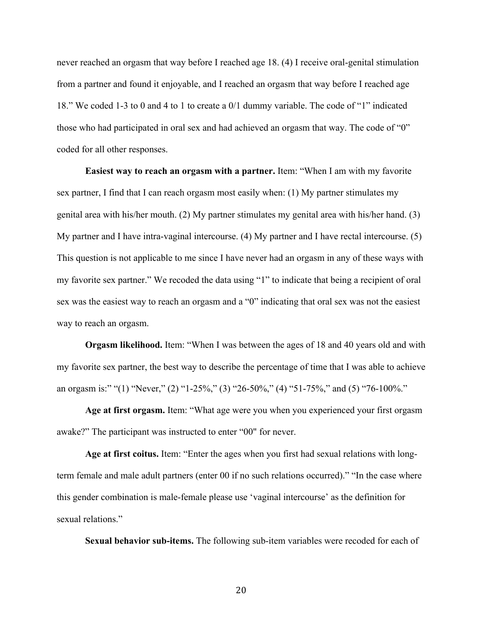never reached an orgasm that way before I reached age 18. (4) I receive oral-genital stimulation from a partner and found it enjoyable, and I reached an orgasm that way before I reached age 18." We coded 1-3 to 0 and 4 to 1 to create a 0/1 dummy variable. The code of "1" indicated those who had participated in oral sex and had achieved an orgasm that way. The code of "0" coded for all other responses.

**Easiest way to reach an orgasm with a partner.** Item: "When I am with my favorite sex partner, I find that I can reach orgasm most easily when: (1) My partner stimulates my genital area with his/her mouth. (2) My partner stimulates my genital area with his/her hand. (3) My partner and I have intra-vaginal intercourse. (4) My partner and I have rectal intercourse. (5) This question is not applicable to me since I have never had an orgasm in any of these ways with my favorite sex partner." We recoded the data using "1" to indicate that being a recipient of oral sex was the easiest way to reach an orgasm and a "0" indicating that oral sex was not the easiest way to reach an orgasm.

**Orgasm likelihood.** Item: "When I was between the ages of 18 and 40 years old and with my favorite sex partner, the best way to describe the percentage of time that I was able to achieve an orgasm is:" "(1) "Never," (2) "1-25%," (3) "26-50%," (4) "51-75%," and (5) "76-100%."

**Age at first orgasm.** Item: "What age were you when you experienced your first orgasm awake?" The participant was instructed to enter "00" for never.

**Age at first coitus.** Item: "Enter the ages when you first had sexual relations with longterm female and male adult partners (enter 00 if no such relations occurred)." "In the case where this gender combination is male-female please use 'vaginal intercourse' as the definition for sexual relations."

**Sexual behavior sub-items.** The following sub-item variables were recoded for each of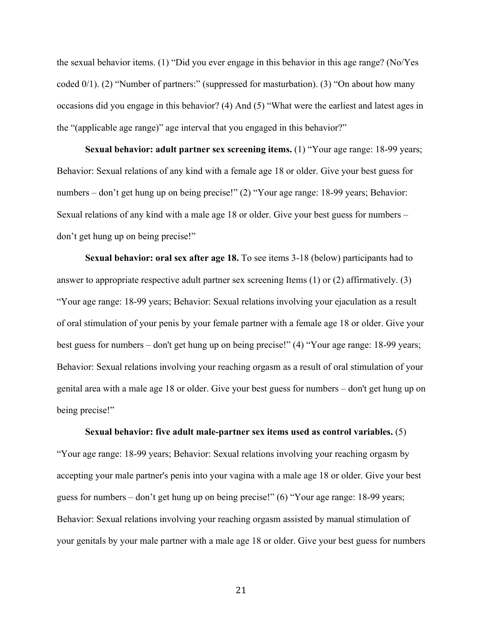the sexual behavior items. (1) "Did you ever engage in this behavior in this age range? (No/Yes coded 0/1). (2) "Number of partners:" (suppressed for masturbation). (3) "On about how many occasions did you engage in this behavior? (4) And (5) "What were the earliest and latest ages in the "(applicable age range)" age interval that you engaged in this behavior?"

**Sexual behavior: adult partner sex screening items.** (1) "Your age range: 18-99 years; Behavior: Sexual relations of any kind with a female age 18 or older. Give your best guess for numbers – don't get hung up on being precise!" (2) "Your age range: 18-99 years; Behavior: Sexual relations of any kind with a male age 18 or older. Give your best guess for numbers – don't get hung up on being precise!"

**Sexual behavior: oral sex after age 18.** To see items 3-18 (below) participants had to answer to appropriate respective adult partner sex screening Items (1) or (2) affirmatively. (3) "Your age range: 18-99 years; Behavior: Sexual relations involving your ejaculation as a result of oral stimulation of your penis by your female partner with a female age 18 or older. Give your best guess for numbers – don't get hung up on being precise!" (4) "Your age range: 18-99 years; Behavior: Sexual relations involving your reaching orgasm as a result of oral stimulation of your genital area with a male age 18 or older. Give your best guess for numbers – don't get hung up on being precise!"

#### **Sexual behavior: five adult male-partner sex items used as control variables.** (5)

"Your age range: 18-99 years; Behavior: Sexual relations involving your reaching orgasm by accepting your male partner's penis into your vagina with a male age 18 or older. Give your best guess for numbers – don't get hung up on being precise!" (6) "Your age range: 18-99 years; Behavior: Sexual relations involving your reaching orgasm assisted by manual stimulation of your genitals by your male partner with a male age 18 or older. Give your best guess for numbers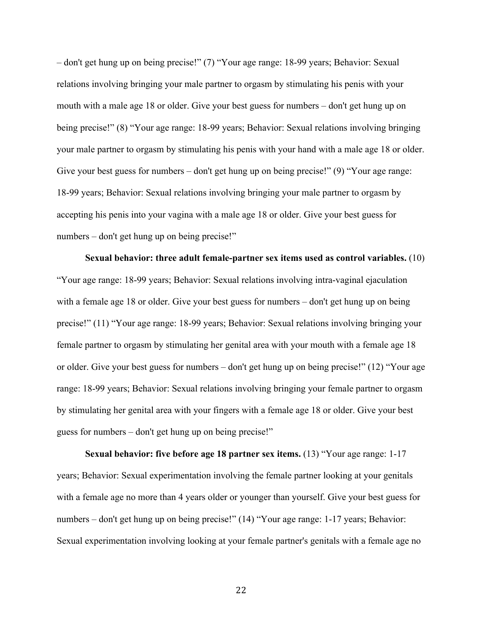– don't get hung up on being precise!" (7) "Your age range: 18-99 years; Behavior: Sexual relations involving bringing your male partner to orgasm by stimulating his penis with your mouth with a male age 18 or older. Give your best guess for numbers – don't get hung up on being precise!" (8) "Your age range: 18-99 years; Behavior: Sexual relations involving bringing your male partner to orgasm by stimulating his penis with your hand with a male age 18 or older. Give your best guess for numbers – don't get hung up on being precise!" (9) "Your age range: 18-99 years; Behavior: Sexual relations involving bringing your male partner to orgasm by accepting his penis into your vagina with a male age 18 or older. Give your best guess for numbers – don't get hung up on being precise!"

**Sexual behavior: three adult female-partner sex items used as control variables.** (10) "Your age range: 18-99 years; Behavior: Sexual relations involving intra-vaginal ejaculation with a female age 18 or older. Give your best guess for numbers – don't get hung up on being precise!" (11) "Your age range: 18-99 years; Behavior: Sexual relations involving bringing your female partner to orgasm by stimulating her genital area with your mouth with a female age 18 or older. Give your best guess for numbers – don't get hung up on being precise!" (12) "Your age range: 18-99 years; Behavior: Sexual relations involving bringing your female partner to orgasm by stimulating her genital area with your fingers with a female age 18 or older. Give your best guess for numbers – don't get hung up on being precise!"

**Sexual behavior: five before age 18 partner sex items.** (13) "Your age range: 1-17 years; Behavior: Sexual experimentation involving the female partner looking at your genitals with a female age no more than 4 years older or younger than yourself. Give your best guess for numbers – don't get hung up on being precise!" (14) "Your age range: 1-17 years; Behavior: Sexual experimentation involving looking at your female partner's genitals with a female age no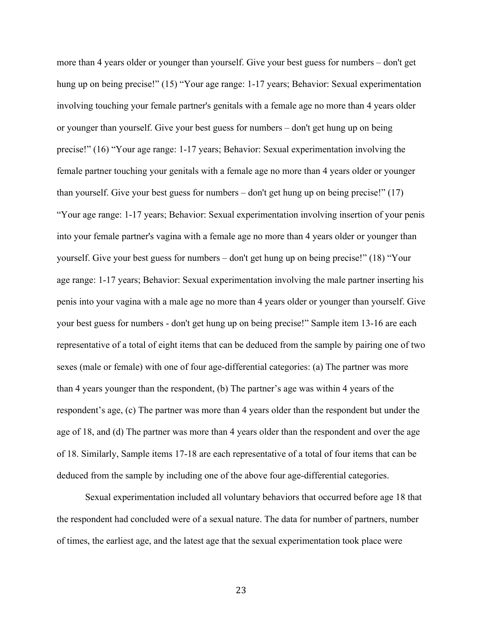more than 4 years older or younger than yourself. Give your best guess for numbers – don't get hung up on being precise!" (15) "Your age range: 1-17 years; Behavior: Sexual experimentation involving touching your female partner's genitals with a female age no more than 4 years older or younger than yourself. Give your best guess for numbers – don't get hung up on being precise!" (16) "Your age range: 1-17 years; Behavior: Sexual experimentation involving the female partner touching your genitals with a female age no more than 4 years older or younger than yourself. Give your best guess for numbers – don't get hung up on being precise!" (17) "Your age range: 1-17 years; Behavior: Sexual experimentation involving insertion of your penis into your female partner's vagina with a female age no more than 4 years older or younger than yourself. Give your best guess for numbers – don't get hung up on being precise!" (18) "Your age range: 1-17 years; Behavior: Sexual experimentation involving the male partner inserting his penis into your vagina with a male age no more than 4 years older or younger than yourself. Give your best guess for numbers - don't get hung up on being precise!" Sample item 13-16 are each representative of a total of eight items that can be deduced from the sample by pairing one of two sexes (male or female) with one of four age-differential categories: (a) The partner was more than 4 years younger than the respondent, (b) The partner's age was within 4 years of the respondent's age, (c) The partner was more than 4 years older than the respondent but under the age of 18, and (d) The partner was more than 4 years older than the respondent and over the age of 18. Similarly, Sample items 17-18 are each representative of a total of four items that can be deduced from the sample by including one of the above four age-differential categories.

Sexual experimentation included all voluntary behaviors that occurred before age 18 that the respondent had concluded were of a sexual nature. The data for number of partners, number of times, the earliest age, and the latest age that the sexual experimentation took place were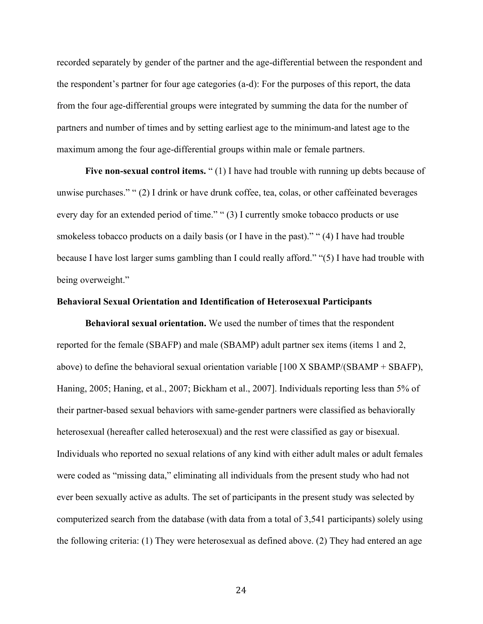recorded separately by gender of the partner and the age-differential between the respondent and the respondent's partner for four age categories (a-d): For the purposes of this report, the data from the four age-differential groups were integrated by summing the data for the number of partners and number of times and by setting earliest age to the minimum-and latest age to the maximum among the four age-differential groups within male or female partners.

Five non-sexual control items. "(1) I have had trouble with running up debts because of unwise purchases." " (2) I drink or have drunk coffee, tea, colas, or other caffeinated beverages every day for an extended period of time." " (3) I currently smoke tobacco products or use smokeless tobacco products on a daily basis (or I have in the past)." " (4) I have had trouble because I have lost larger sums gambling than I could really afford." "(5) I have had trouble with being overweight."

#### **Behavioral Sexual Orientation and Identification of Heterosexual Participants**

**Behavioral sexual orientation.** We used the number of times that the respondent reported for the female (SBAFP) and male (SBAMP) adult partner sex items (items 1 and 2, above) to define the behavioral sexual orientation variable [100 X SBAMP/(SBAMP + SBAFP), Haning, 2005; Haning, et al., 2007; Bickham et al., 2007]. Individuals reporting less than 5% of their partner-based sexual behaviors with same-gender partners were classified as behaviorally heterosexual (hereafter called heterosexual) and the rest were classified as gay or bisexual. Individuals who reported no sexual relations of any kind with either adult males or adult females were coded as "missing data," eliminating all individuals from the present study who had not ever been sexually active as adults. The set of participants in the present study was selected by computerized search from the database (with data from a total of 3,541 participants) solely using the following criteria: (1) They were heterosexual as defined above. (2) They had entered an age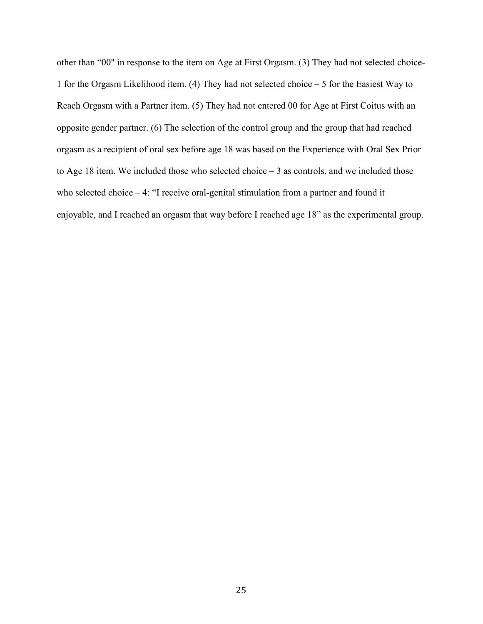other than "00" in response to the item on Age at First Orgasm. (3) They had not selected choice-1 for the Orgasm Likelihood item. (4) They had not selected choice – 5 for the Easiest Way to Reach Orgasm with a Partner item. (5) They had not entered 00 for Age at First Coitus with an opposite gender partner. (6) The selection of the control group and the group that had reached orgasm as a recipient of oral sex before age 18 was based on the Experience with Oral Sex Prior to Age 18 item. We included those who selected choice  $-3$  as controls, and we included those who selected choice – 4: "I receive oral-genital stimulation from a partner and found it enjoyable, and I reached an orgasm that way before I reached age 18" as the experimental group.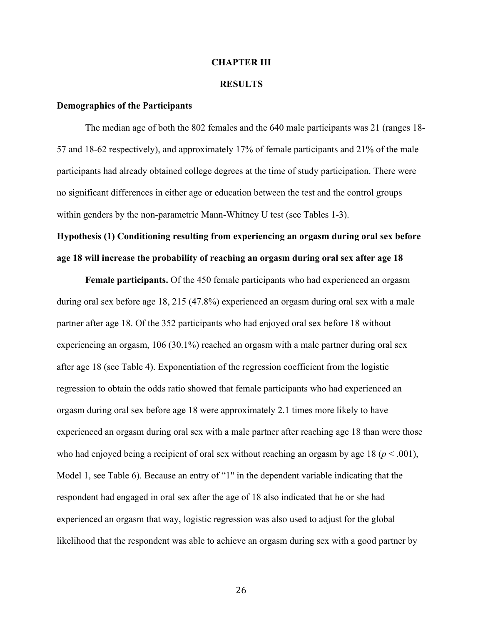#### **CHAPTER III**

#### **RESULTS**

#### **Demographics of the Participants**

The median age of both the 802 females and the 640 male participants was 21 (ranges 18- 57 and 18-62 respectively), and approximately 17% of female participants and 21% of the male participants had already obtained college degrees at the time of study participation. There were no significant differences in either age or education between the test and the control groups within genders by the non-parametric Mann-Whitney U test (see Tables 1-3).

**Hypothesis (1) Conditioning resulting from experiencing an orgasm during oral sex before age 18 will increase the probability of reaching an orgasm during oral sex after age 18**

**Female participants.** Of the 450 female participants who had experienced an orgasm during oral sex before age 18, 215 (47.8%) experienced an orgasm during oral sex with a male partner after age 18. Of the 352 participants who had enjoyed oral sex before 18 without experiencing an orgasm, 106 (30.1%) reached an orgasm with a male partner during oral sex after age 18 (see Table 4). Exponentiation of the regression coefficient from the logistic regression to obtain the odds ratio showed that female participants who had experienced an orgasm during oral sex before age 18 were approximately 2.1 times more likely to have experienced an orgasm during oral sex with a male partner after reaching age 18 than were those who had enjoyed being a recipient of oral sex without reaching an orgasm by age 18 ( $p < .001$ ), Model 1, see Table 6). Because an entry of "1" in the dependent variable indicating that the respondent had engaged in oral sex after the age of 18 also indicated that he or she had experienced an orgasm that way, logistic regression was also used to adjust for the global likelihood that the respondent was able to achieve an orgasm during sex with a good partner by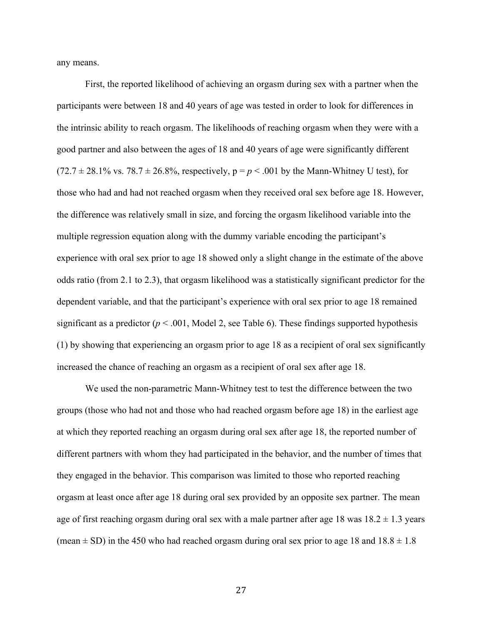any means.

First, the reported likelihood of achieving an orgasm during sex with a partner when the participants were between 18 and 40 years of age was tested in order to look for differences in the intrinsic ability to reach orgasm. The likelihoods of reaching orgasm when they were with a good partner and also between the ages of 18 and 40 years of age were significantly different  $(72.7 \pm 28.1\% \text{ vs. } 78.7 \pm 26.8\%, \text{ respectively, } p = p < .001 \text{ by the Mann-Whitney U test}$ , for those who had and had not reached orgasm when they received oral sex before age 18. However, the difference was relatively small in size, and forcing the orgasm likelihood variable into the multiple regression equation along with the dummy variable encoding the participant's experience with oral sex prior to age 18 showed only a slight change in the estimate of the above odds ratio (from 2.1 to 2.3), that orgasm likelihood was a statistically significant predictor for the dependent variable, and that the participant's experience with oral sex prior to age 18 remained significant as a predictor ( $p < .001$ , Model 2, see Table 6). These findings supported hypothesis (1) by showing that experiencing an orgasm prior to age 18 as a recipient of oral sex significantly increased the chance of reaching an orgasm as a recipient of oral sex after age 18.

We used the non-parametric Mann-Whitney test to test the difference between the two groups (those who had not and those who had reached orgasm before age 18) in the earliest age at which they reported reaching an orgasm during oral sex after age 18, the reported number of different partners with whom they had participated in the behavior, and the number of times that they engaged in the behavior. This comparison was limited to those who reported reaching orgasm at least once after age 18 during oral sex provided by an opposite sex partner. The mean age of first reaching orgasm during oral sex with a male partner after age 18 was  $18.2 \pm 1.3$  years (mean  $\pm$  SD) in the 450 who had reached orgasm during oral sex prior to age 18 and  $18.8 \pm 1.8$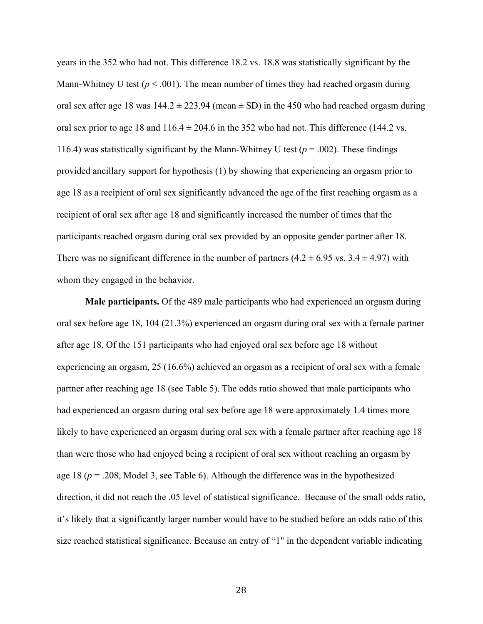years in the 352 who had not. This difference 18.2 vs. 18.8 was statistically significant by the Mann-Whitney U test ( $p < .001$ ). The mean number of times they had reached orgasm during oral sex after age 18 was  $144.2 \pm 223.94$  (mean  $\pm$  SD) in the 450 who had reached orgasm during oral sex prior to age 18 and  $116.4 \pm 204.6$  in the 352 who had not. This difference (144.2 vs. 116.4) was statistically significant by the Mann-Whitney U test ( $p = .002$ ). These findings provided ancillary support for hypothesis (1) by showing that experiencing an orgasm prior to age 18 as a recipient of oral sex significantly advanced the age of the first reaching orgasm as a recipient of oral sex after age 18 and significantly increased the number of times that the participants reached orgasm during oral sex provided by an opposite gender partner after 18. There was no significant difference in the number of partners  $(4.2 \pm 6.95 \text{ vs. } 3.4 \pm 4.97)$  with whom they engaged in the behavior.

**Male participants.** Of the 489 male participants who had experienced an orgasm during oral sex before age 18, 104 (21.3%) experienced an orgasm during oral sex with a female partner after age 18. Of the 151 participants who had enjoyed oral sex before age 18 without experiencing an orgasm, 25 (16.6%) achieved an orgasm as a recipient of oral sex with a female partner after reaching age 18 (see Table 5). The odds ratio showed that male participants who had experienced an orgasm during oral sex before age 18 were approximately 1.4 times more likely to have experienced an orgasm during oral sex with a female partner after reaching age 18 than were those who had enjoyed being a recipient of oral sex without reaching an orgasm by age 18 (*p* = .208, Model 3, see Table 6). Although the difference was in the hypothesized direction, it did not reach the .05 level of statistical significance. Because of the small odds ratio, it's likely that a significantly larger number would have to be studied before an odds ratio of this size reached statistical significance. Because an entry of "1" in the dependent variable indicating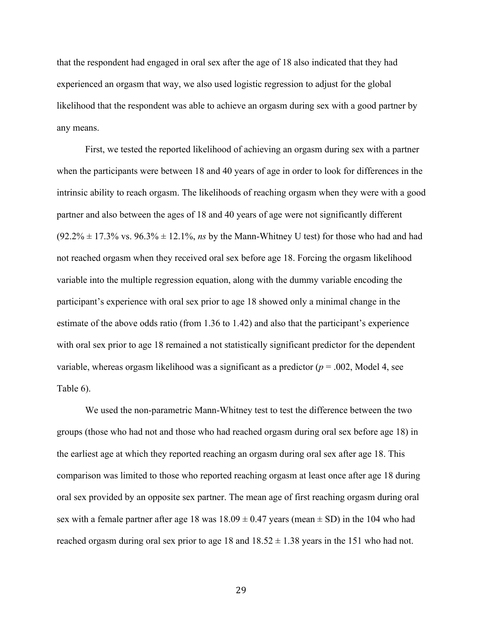that the respondent had engaged in oral sex after the age of 18 also indicated that they had experienced an orgasm that way, we also used logistic regression to adjust for the global likelihood that the respondent was able to achieve an orgasm during sex with a good partner by any means.

First, we tested the reported likelihood of achieving an orgasm during sex with a partner when the participants were between 18 and 40 years of age in order to look for differences in the intrinsic ability to reach orgasm. The likelihoods of reaching orgasm when they were with a good partner and also between the ages of 18 and 40 years of age were not significantly different  $(92.2\% \pm 17.3\% \text{ vs. } 96.3\% \pm 12.1\%$ , *ns* by the Mann-Whitney U test) for those who had and had not reached orgasm when they received oral sex before age 18. Forcing the orgasm likelihood variable into the multiple regression equation, along with the dummy variable encoding the participant's experience with oral sex prior to age 18 showed only a minimal change in the estimate of the above odds ratio (from 1.36 to 1.42) and also that the participant's experience with oral sex prior to age 18 remained a not statistically significant predictor for the dependent variable, whereas orgasm likelihood was a significant as a predictor (*p* = .002, Model 4, see Table 6).

We used the non-parametric Mann-Whitney test to test the difference between the two groups (those who had not and those who had reached orgasm during oral sex before age 18) in the earliest age at which they reported reaching an orgasm during oral sex after age 18. This comparison was limited to those who reported reaching orgasm at least once after age 18 during oral sex provided by an opposite sex partner. The mean age of first reaching orgasm during oral sex with a female partner after age 18 was  $18.09 \pm 0.47$  years (mean  $\pm$  SD) in the 104 who had reached orgasm during oral sex prior to age 18 and  $18.52 \pm 1.38$  years in the 151 who had not.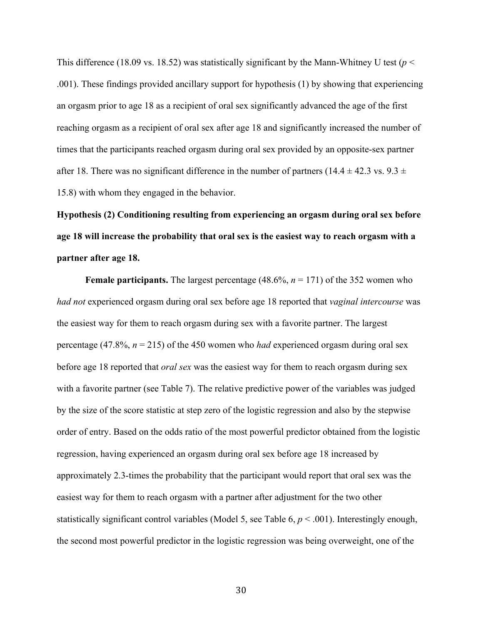This difference (18.09 vs. 18.52) was statistically significant by the Mann-Whitney U test ( $p <$ .001). These findings provided ancillary support for hypothesis (1) by showing that experiencing an orgasm prior to age 18 as a recipient of oral sex significantly advanced the age of the first reaching orgasm as a recipient of oral sex after age 18 and significantly increased the number of times that the participants reached orgasm during oral sex provided by an opposite-sex partner after 18. There was no significant difference in the number of partners (14.4  $\pm$  42.3 vs. 9.3  $\pm$ 15.8) with whom they engaged in the behavior.

**Hypothesis (2) Conditioning resulting from experiencing an orgasm during oral sex before age 18 will increase the probability that oral sex is the easiest way to reach orgasm with a partner after age 18.**

**Female participants.** The largest percentage (48.6%, *n* = 171) of the 352 women who *had not* experienced orgasm during oral sex before age 18 reported that *vaginal intercourse* was the easiest way for them to reach orgasm during sex with a favorite partner. The largest percentage (47.8%, *n* = 215) of the 450 women who *had* experienced orgasm during oral sex before age 18 reported that *oral sex* was the easiest way for them to reach orgasm during sex with a favorite partner (see Table 7). The relative predictive power of the variables was judged by the size of the score statistic at step zero of the logistic regression and also by the stepwise order of entry. Based on the odds ratio of the most powerful predictor obtained from the logistic regression, having experienced an orgasm during oral sex before age 18 increased by approximately 2.3-times the probability that the participant would report that oral sex was the easiest way for them to reach orgasm with a partner after adjustment for the two other statistically significant control variables (Model 5, see Table 6, *p* < .001). Interestingly enough, the second most powerful predictor in the logistic regression was being overweight, one of the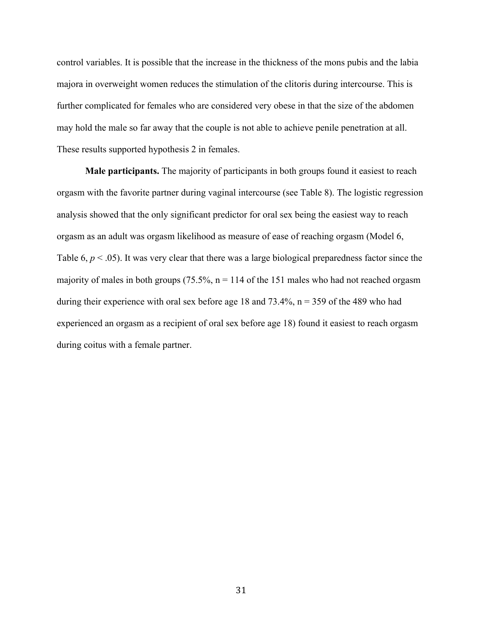control variables. It is possible that the increase in the thickness of the mons pubis and the labia majora in overweight women reduces the stimulation of the clitoris during intercourse. This is further complicated for females who are considered very obese in that the size of the abdomen may hold the male so far away that the couple is not able to achieve penile penetration at all. These results supported hypothesis 2 in females.

**Male participants.** The majority of participants in both groups found it easiest to reach orgasm with the favorite partner during vaginal intercourse (see Table 8). The logistic regression analysis showed that the only significant predictor for oral sex being the easiest way to reach orgasm as an adult was orgasm likelihood as measure of ease of reaching orgasm (Model 6, Table  $6, p < .05$ ). It was very clear that there was a large biological preparedness factor since the majority of males in both groups (75.5%,  $n = 114$  of the 151 males who had not reached orgasm during their experience with oral sex before age 18 and  $73.4\%$ ,  $n = 359$  of the 489 who had experienced an orgasm as a recipient of oral sex before age 18) found it easiest to reach orgasm during coitus with a female partner.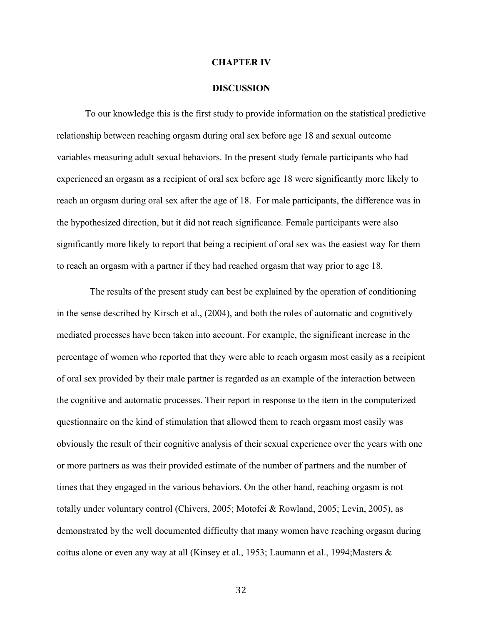#### **CHAPTER IV**

#### **DISCUSSION**

To our knowledge this is the first study to provide information on the statistical predictive relationship between reaching orgasm during oral sex before age 18 and sexual outcome variables measuring adult sexual behaviors. In the present study female participants who had experienced an orgasm as a recipient of oral sex before age 18 were significantly more likely to reach an orgasm during oral sex after the age of 18. For male participants, the difference was in the hypothesized direction, but it did not reach significance. Female participants were also significantly more likely to report that being a recipient of oral sex was the easiest way for them to reach an orgasm with a partner if they had reached orgasm that way prior to age 18.

 The results of the present study can best be explained by the operation of conditioning in the sense described by Kirsch et al., (2004), and both the roles of automatic and cognitively mediated processes have been taken into account. For example, the significant increase in the percentage of women who reported that they were able to reach orgasm most easily as a recipient of oral sex provided by their male partner is regarded as an example of the interaction between the cognitive and automatic processes. Their report in response to the item in the computerized questionnaire on the kind of stimulation that allowed them to reach orgasm most easily was obviously the result of their cognitive analysis of their sexual experience over the years with one or more partners as was their provided estimate of the number of partners and the number of times that they engaged in the various behaviors. On the other hand, reaching orgasm is not totally under voluntary control (Chivers, 2005; Motofei & Rowland, 2005; Levin, 2005), as demonstrated by the well documented difficulty that many women have reaching orgasm during coitus alone or even any way at all (Kinsey et al., 1953; Laumann et al., 1994;Masters &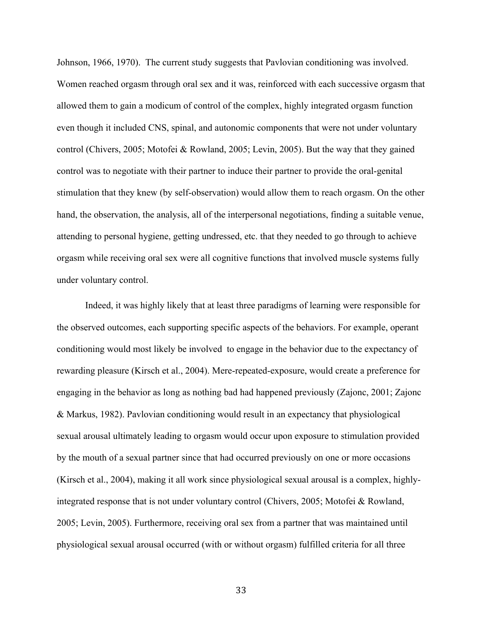Johnson, 1966, 1970). The current study suggests that Pavlovian conditioning was involved. Women reached orgasm through oral sex and it was, reinforced with each successive orgasm that allowed them to gain a modicum of control of the complex, highly integrated orgasm function even though it included CNS, spinal, and autonomic components that were not under voluntary control (Chivers, 2005; Motofei & Rowland, 2005; Levin, 2005). But the way that they gained control was to negotiate with their partner to induce their partner to provide the oral-genital stimulation that they knew (by self-observation) would allow them to reach orgasm. On the other hand, the observation, the analysis, all of the interpersonal negotiations, finding a suitable venue, attending to personal hygiene, getting undressed, etc. that they needed to go through to achieve orgasm while receiving oral sex were all cognitive functions that involved muscle systems fully under voluntary control.

Indeed, it was highly likely that at least three paradigms of learning were responsible for the observed outcomes, each supporting specific aspects of the behaviors. For example, operant conditioning would most likely be involved to engage in the behavior due to the expectancy of rewarding pleasure (Kirsch et al., 2004). Mere-repeated-exposure, would create a preference for engaging in the behavior as long as nothing bad had happened previously (Zajonc, 2001; Zajonc & Markus, 1982). Pavlovian conditioning would result in an expectancy that physiological sexual arousal ultimately leading to orgasm would occur upon exposure to stimulation provided by the mouth of a sexual partner since that had occurred previously on one or more occasions (Kirsch et al., 2004), making it all work since physiological sexual arousal is a complex, highlyintegrated response that is not under voluntary control (Chivers, 2005; Motofei & Rowland, 2005; Levin, 2005). Furthermore, receiving oral sex from a partner that was maintained until physiological sexual arousal occurred (with or without orgasm) fulfilled criteria for all three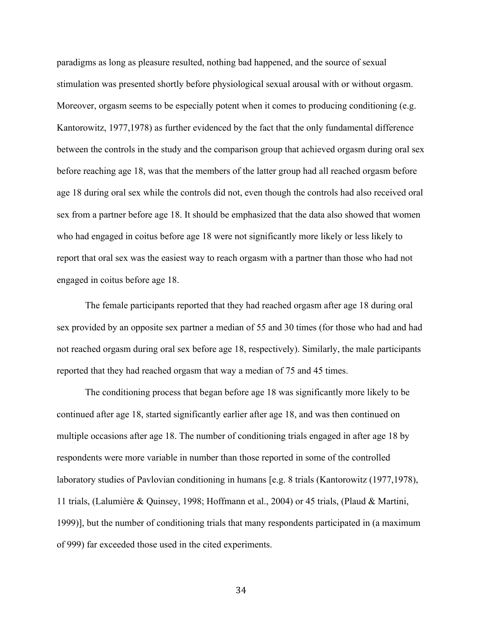paradigms as long as pleasure resulted, nothing bad happened, and the source of sexual stimulation was presented shortly before physiological sexual arousal with or without orgasm. Moreover, orgasm seems to be especially potent when it comes to producing conditioning (e.g. Kantorowitz, 1977,1978) as further evidenced by the fact that the only fundamental difference between the controls in the study and the comparison group that achieved orgasm during oral sex before reaching age 18, was that the members of the latter group had all reached orgasm before age 18 during oral sex while the controls did not, even though the controls had also received oral sex from a partner before age 18. It should be emphasized that the data also showed that women who had engaged in coitus before age 18 were not significantly more likely or less likely to report that oral sex was the easiest way to reach orgasm with a partner than those who had not engaged in coitus before age 18.

The female participants reported that they had reached orgasm after age 18 during oral sex provided by an opposite sex partner a median of 55 and 30 times (for those who had and had not reached orgasm during oral sex before age 18, respectively). Similarly, the male participants reported that they had reached orgasm that way a median of 75 and 45 times.

The conditioning process that began before age 18 was significantly more likely to be continued after age 18, started significantly earlier after age 18, and was then continued on multiple occasions after age 18. The number of conditioning trials engaged in after age 18 by respondents were more variable in number than those reported in some of the controlled laboratory studies of Pavlovian conditioning in humans [e.g. 8 trials (Kantorowitz (1977,1978), 11 trials, (Lalumière & Quinsey, 1998; Hoffmann et al., 2004) or 45 trials, (Plaud & Martini, 1999)], but the number of conditioning trials that many respondents participated in (a maximum of 999) far exceeded those used in the cited experiments.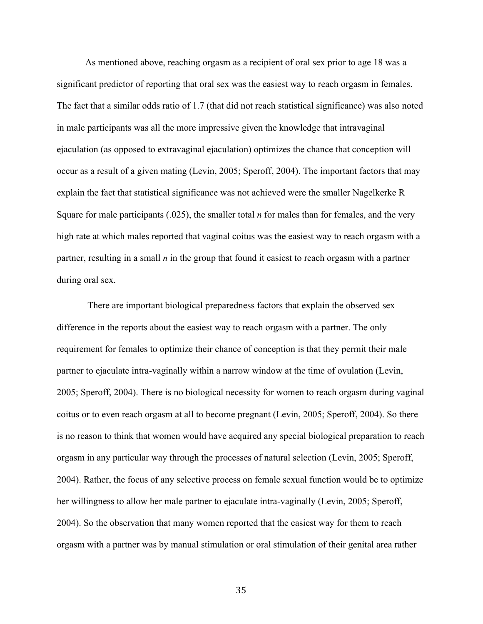As mentioned above, reaching orgasm as a recipient of oral sex prior to age 18 was a significant predictor of reporting that oral sex was the easiest way to reach orgasm in females. The fact that a similar odds ratio of 1.7 (that did not reach statistical significance) was also noted in male participants was all the more impressive given the knowledge that intravaginal ejaculation (as opposed to extravaginal ejaculation) optimizes the chance that conception will occur as a result of a given mating (Levin, 2005; Speroff, 2004). The important factors that may explain the fact that statistical significance was not achieved were the smaller Nagelkerke R Square for male participants (.025), the smaller total *n* for males than for females, and the very high rate at which males reported that vaginal coitus was the easiest way to reach orgasm with a partner, resulting in a small *n* in the group that found it easiest to reach orgasm with a partner during oral sex.

There are important biological preparedness factors that explain the observed sex difference in the reports about the easiest way to reach orgasm with a partner. The only requirement for females to optimize their chance of conception is that they permit their male partner to ejaculate intra-vaginally within a narrow window at the time of ovulation (Levin, 2005; Speroff, 2004). There is no biological necessity for women to reach orgasm during vaginal coitus or to even reach orgasm at all to become pregnant (Levin, 2005; Speroff, 2004). So there is no reason to think that women would have acquired any special biological preparation to reach orgasm in any particular way through the processes of natural selection (Levin, 2005; Speroff, 2004). Rather, the focus of any selective process on female sexual function would be to optimize her willingness to allow her male partner to ejaculate intra-vaginally (Levin, 2005; Speroff, 2004). So the observation that many women reported that the easiest way for them to reach orgasm with a partner was by manual stimulation or oral stimulation of their genital area rather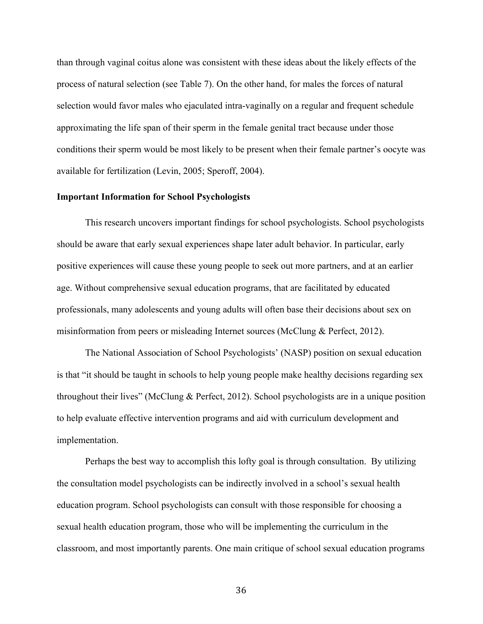than through vaginal coitus alone was consistent with these ideas about the likely effects of the process of natural selection (see Table 7). On the other hand, for males the forces of natural selection would favor males who ejaculated intra-vaginally on a regular and frequent schedule approximating the life span of their sperm in the female genital tract because under those conditions their sperm would be most likely to be present when their female partner's oocyte was available for fertilization (Levin, 2005; Speroff, 2004).

#### **Important Information for School Psychologists**

This research uncovers important findings for school psychologists. School psychologists should be aware that early sexual experiences shape later adult behavior. In particular, early positive experiences will cause these young people to seek out more partners, and at an earlier age. Without comprehensive sexual education programs, that are facilitated by educated professionals, many adolescents and young adults will often base their decisions about sex on misinformation from peers or misleading Internet sources (McClung & Perfect, 2012).

The National Association of School Psychologists' (NASP) position on sexual education is that "it should be taught in schools to help young people make healthy decisions regarding sex throughout their lives" (McClung & Perfect, 2012). School psychologists are in a unique position to help evaluate effective intervention programs and aid with curriculum development and implementation.

Perhaps the best way to accomplish this lofty goal is through consultation. By utilizing the consultation model psychologists can be indirectly involved in a school's sexual health education program. School psychologists can consult with those responsible for choosing a sexual health education program, those who will be implementing the curriculum in the classroom, and most importantly parents. One main critique of school sexual education programs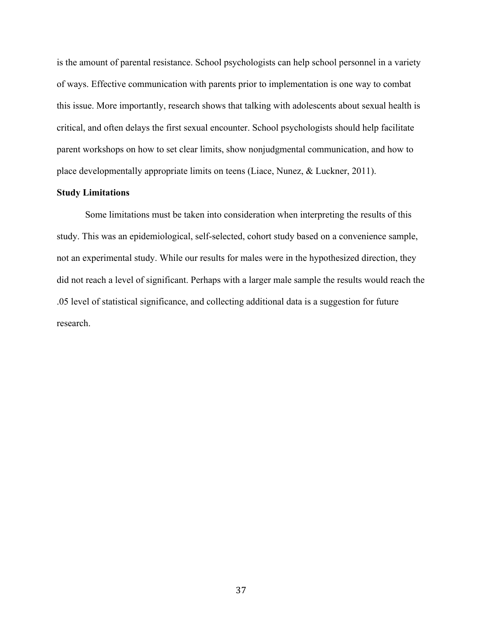is the amount of parental resistance. School psychologists can help school personnel in a variety of ways. Effective communication with parents prior to implementation is one way to combat this issue. More importantly, research shows that talking with adolescents about sexual health is critical, and often delays the first sexual encounter. School psychologists should help facilitate parent workshops on how to set clear limits, show nonjudgmental communication, and how to place developmentally appropriate limits on teens (Liace, Nunez, & Luckner, 2011).

#### **Study Limitations**

Some limitations must be taken into consideration when interpreting the results of this study. This was an epidemiological, self-selected, cohort study based on a convenience sample, not an experimental study. While our results for males were in the hypothesized direction, they did not reach a level of significant. Perhaps with a larger male sample the results would reach the .05 level of statistical significance, and collecting additional data is a suggestion for future research.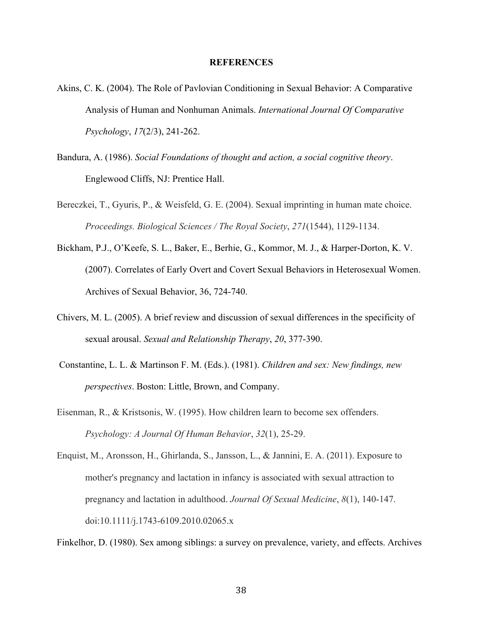#### **REFERENCES**

- Akins, C. K. (2004). The Role of Pavlovian Conditioning in Sexual Behavior: A Comparative Analysis of Human and Nonhuman Animals. *International Journal Of Comparative Psychology*, *17*(2/3), 241-262.
- Bandura, A. (1986). *Social Foundations of thought and action, a social cognitive theory*. Englewood Cliffs, NJ: Prentice Hall.
- Bereczkei, T., Gyuris, P., & Weisfeld, G. E. (2004). Sexual imprinting in human mate choice. *Proceedings. Biological Sciences / The Royal Society*, *271*(1544), 1129-1134.
- Bickham, P.J., O'Keefe, S. L., Baker, E., Berhie, G., Kommor, M. J., & Harper-Dorton, K. V. (2007). Correlates of Early Overt and Covert Sexual Behaviors in Heterosexual Women. Archives of Sexual Behavior, 36, 724-740.
- Chivers, M. L. (2005). A brief review and discussion of sexual differences in the specificity of sexual arousal. *Sexual and Relationship Therapy*, *20*, 377-390.
- Constantine, L. L. & Martinson F. M. (Eds.). (1981). *Children and sex: New findings, new perspectives*. Boston: Little, Brown, and Company.
- Eisenman, R., & Kristsonis, W. (1995). How children learn to become sex offenders. *Psychology: A Journal Of Human Behavior*, *32*(1), 25-29.
- Enquist, M., Aronsson, H., Ghirlanda, S., Jansson, L., & Jannini, E. A. (2011). Exposure to mother's pregnancy and lactation in infancy is associated with sexual attraction to pregnancy and lactation in adulthood. *Journal Of Sexual Medicine*, *8*(1), 140-147. doi:10.1111/j.1743-6109.2010.02065.x

Finkelhor, D. (1980). Sex among siblings: a survey on prevalence, variety, and effects. Archives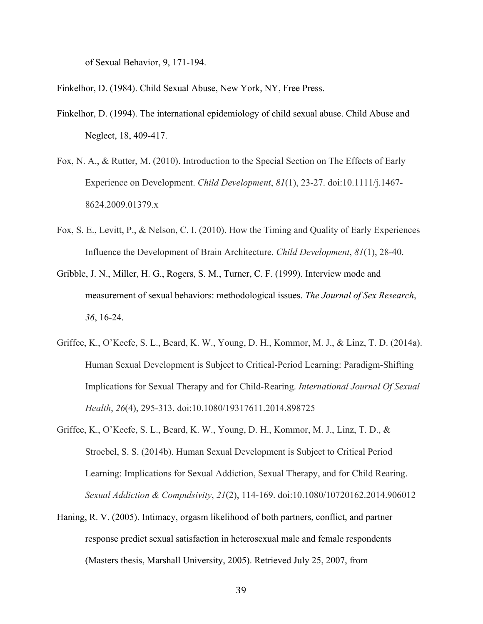of Sexual Behavior, 9, 171-194.

Finkelhor, D. (1984). Child Sexual Abuse, New York, NY, Free Press.

- Finkelhor, D. (1994). The international epidemiology of child sexual abuse. Child Abuse and Neglect, 18, 409-417.
- Fox, N. A., & Rutter, M. (2010). Introduction to the Special Section on The Effects of Early Experience on Development. *Child Development*, *81*(1), 23-27. doi:10.1111/j.1467- 8624.2009.01379.x
- Fox, S. E., Levitt, P., & Nelson, C. I. (2010). How the Timing and Quality of Early Experiences Influence the Development of Brain Architecture. *Child Development*, *81*(1), 28-40.
- Gribble, J. N., Miller, H. G., Rogers, S. M., Turner, C. F. (1999). Interview mode and measurement of sexual behaviors: methodological issues. *The Journal of Sex Research*, *36*, 16-24.
- Griffee, K., O'Keefe, S. L., Beard, K. W., Young, D. H., Kommor, M. J., & Linz, T. D. (2014a). Human Sexual Development is Subject to Critical-Period Learning: Paradigm-Shifting Implications for Sexual Therapy and for Child-Rearing. *International Journal Of Sexual Health*, *26*(4), 295-313. doi:10.1080/19317611.2014.898725
- Griffee, K., O'Keefe, S. L., Beard, K. W., Young, D. H., Kommor, M. J., Linz, T. D., & Stroebel, S. S. (2014b). Human Sexual Development is Subject to Critical Period Learning: Implications for Sexual Addiction, Sexual Therapy, and for Child Rearing. *Sexual Addiction & Compulsivity*, *21*(2), 114-169. doi:10.1080/10720162.2014.906012
- Haning, R. V. (2005). Intimacy, orgasm likelihood of both partners, conflict, and partner response predict sexual satisfaction in heterosexual male and female respondents (Masters thesis, Marshall University, 2005). Retrieved July 25, 2007, from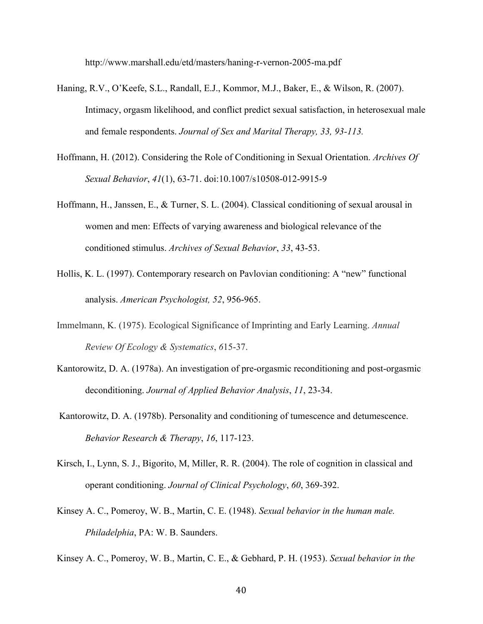http://www.marshall.edu/etd/masters/haning-r-vernon-2005-ma.pdf

- Haning, R.V., O'Keefe, S.L., Randall, E.J., Kommor, M.J., Baker, E., & Wilson, R. (2007). Intimacy, orgasm likelihood, and conflict predict sexual satisfaction, in heterosexual male and female respondents. *Journal of Sex and Marital Therapy, 33, 93-113.*
- Hoffmann, H. (2012). Considering the Role of Conditioning in Sexual Orientation. *Archives Of Sexual Behavior*, *41*(1), 63-71. doi:10.1007/s10508-012-9915-9
- Hoffmann, H., Janssen, E., & Turner, S. L. (2004). Classical conditioning of sexual arousal in women and men: Effects of varying awareness and biological relevance of the conditioned stimulus. *Archives of Sexual Behavior*, *33*, 43-53.
- Hollis, K. L. (1997). Contemporary research on Pavlovian conditioning: A "new" functional analysis. *American Psychologist, 52*, 956-965.
- Immelmann, K. (1975). Ecological Significance of Imprinting and Early Learning. *Annual Review Of Ecology & Systematics*, *6*15-37.
- Kantorowitz, D. A. (1978a). An investigation of pre-orgasmic reconditioning and post-orgasmic deconditioning. *Journal of Applied Behavior Analysis*, *11*, 23-34.
- Kantorowitz, D. A. (1978b). Personality and conditioning of tumescence and detumescence. *Behavior Research & Therapy*, *16*, 117-123.
- Kirsch, I., Lynn, S. J., Bigorito, M, Miller, R. R. (2004). The role of cognition in classical and operant conditioning. *Journal of Clinical Psychology*, *60*, 369-392.
- Kinsey A. C., Pomeroy, W. B., Martin, C. E. (1948). *Sexual behavior in the human male. Philadelphia*, PA: W. B. Saunders.

Kinsey A. C., Pomeroy, W. B., Martin, C. E., & Gebhard, P. H. (1953). *Sexual behavior in the*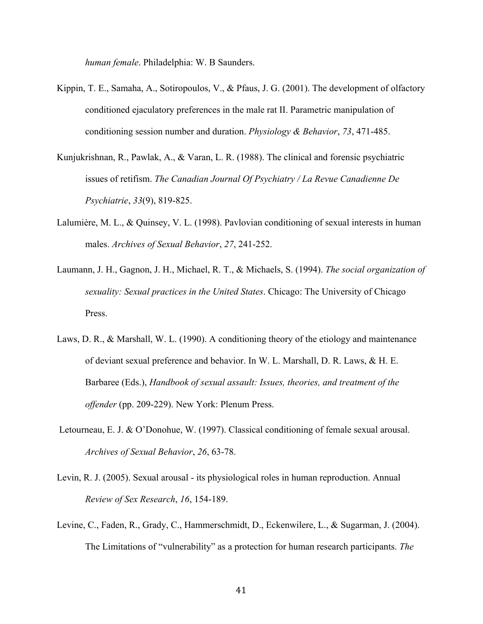*human female*. Philadelphia: W. B Saunders.

- Kippin, T. E., Samaha, A., Sotiropoulos, V., & Pfaus, J. G. (2001). The development of olfactory conditioned ejaculatory preferences in the male rat II. Parametric manipulation of conditioning session number and duration. *Physiology & Behavior*, *73*, 471-485.
- Kunjukrishnan, R., Pawlak, A., & Varan, L. R. (1988). The clinical and forensic psychiatric issues of retifism. *The Canadian Journal Of Psychiatry / La Revue Canadienne De Psychiatrie*, *33*(9), 819-825.
- Lalumière, M. L., & Quinsey, V. L. (1998). Pavlovian conditioning of sexual interests in human males. *Archives of Sexual Behavior*, *27*, 241-252.
- Laumann, J. H., Gagnon, J. H., Michael, R. T., & Michaels, S. (1994). *The social organization of sexuality: Sexual practices in the United States*. Chicago: The University of Chicago Press.
- Laws, D. R., & Marshall, W. L. (1990). A conditioning theory of the etiology and maintenance of deviant sexual preference and behavior. In W. L. Marshall, D. R. Laws, & H. E. Barbaree (Eds.), *Handbook of sexual assault: Issues, theories, and treatment of the offender* (pp. 209-229). New York: Plenum Press.
- Letourneau, E. J. & O'Donohue, W. (1997). Classical conditioning of female sexual arousal. *Archives of Sexual Behavior*, *26*, 63-78.
- Levin, R. J. (2005). Sexual arousal its physiological roles in human reproduction. Annual *Review of Sex Research*, *16*, 154-189.
- Levine, C., Faden, R., Grady, C., Hammerschmidt, D., Eckenwilere, L., & Sugarman, J. (2004). The Limitations of "vulnerability" as a protection for human research participants. *The*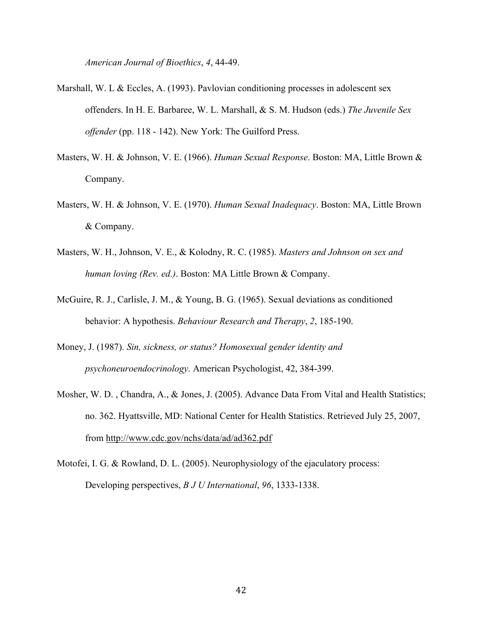*American Journal of Bioethics*, *4*, 44-49.

- Marshall, W. L & Eccles, A. (1993). Pavlovian conditioning processes in adolescent sex offenders. In H. E. Barbaree, W. L. Marshall, & S. M. Hudson (eds.) *The Juvenile Sex offender* (pp. 118 - 142). New York: The Guilford Press.
- Masters, W. H. & Johnson, V. E. (1966). *Human Sexual Response*. Boston: MA, Little Brown & Company.
- Masters, W. H. & Johnson, V. E. (1970). *Human Sexual Inadequacy*. Boston: MA, Little Brown & Company.
- Masters, W. H., Johnson, V. E., & Kolodny, R. C. (1985). *Masters and Johnson on sex and human loving (Rev. ed.)*. Boston: MA Little Brown & Company.
- McGuire, R. J., Carlisle, J. M., & Young, B. G. (1965). Sexual deviations as conditioned behavior: A hypothesis. *Behaviour Research and Therapy*, *2*, 185-190.
- Money, J. (1987). *Sin, sickness, or status? Homosexual gender identity and psychoneuroendocrinology*. American Psychologist, 42, 384-399.
- Mosher, W. D. , Chandra, A., & Jones, J. (2005). Advance Data From Vital and Health Statistics; no. 362. Hyattsville, MD: National Center for Health Statistics. Retrieved July 25, 2007, from http://www.cdc.gov/nchs/data/ad/ad362.pdf
- Motofei, I. G. & Rowland, D. L. (2005). Neurophysiology of the ejaculatory process: Developing perspectives, *B J U International*, *96*, 1333-1338.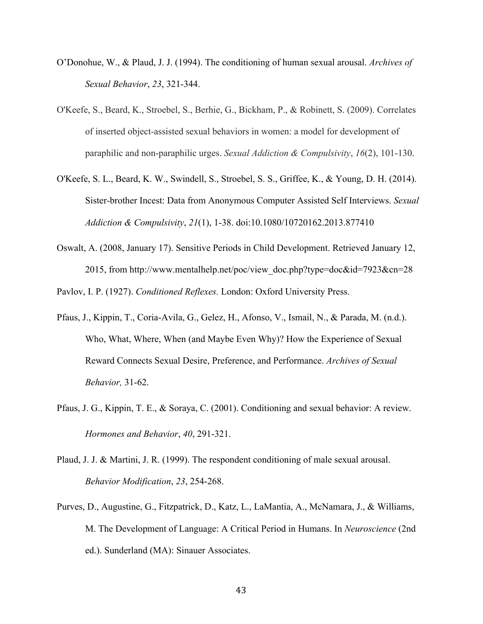- O'Donohue, W., & Plaud, J. J. (1994). The conditioning of human sexual arousal. *Archives of Sexual Behavior*, *23*, 321-344.
- O'Keefe, S., Beard, K., Stroebel, S., Berhie, G., Bickham, P., & Robinett, S. (2009). Correlates of inserted object-assisted sexual behaviors in women: a model for development of paraphilic and non-paraphilic urges. *Sexual Addiction & Compulsivity*, *16*(2), 101-130.
- O'Keefe, S. L., Beard, K. W., Swindell, S., Stroebel, S. S., Griffee, K., & Young, D. H. (2014). Sister-brother Incest: Data from Anonymous Computer Assisted Self Interviews. *Sexual Addiction & Compulsivity*, *21*(1), 1-38. doi:10.1080/10720162.2013.877410
- Oswalt, A. (2008, January 17). Sensitive Periods in Child Development. Retrieved January 12, 2015, from http://www.mentalhelp.net/poc/view\_doc.php?type=doc&id=7923&cn=28

Pavlov, I. P. (1927). *Conditioned Reflexes.* London: Oxford University Press.

- Pfaus, J., Kippin, T., Coria-Avila, G., Gelez, H., Afonso, V., Ismail, N., & Parada, M. (n.d.). Who, What, Where, When (and Maybe Even Why)? How the Experience of Sexual Reward Connects Sexual Desire, Preference, and Performance. *Archives of Sexual Behavior,* 31-62.
- Pfaus, J. G., Kippin, T. E., & Soraya, C. (2001). Conditioning and sexual behavior: A review. *Hormones and Behavior*, *40*, 291-321.
- Plaud, J. J. & Martini, J. R. (1999). The respondent conditioning of male sexual arousal. *Behavior Modification*, *23*, 254-268.
- Purves, D., Augustine, G., Fitzpatrick, D., Katz, L., LaMantia, A., McNamara, J., & Williams, M. The Development of Language: A Critical Period in Humans. In *Neuroscience* (2nd ed.). Sunderland (MA): Sinauer Associates.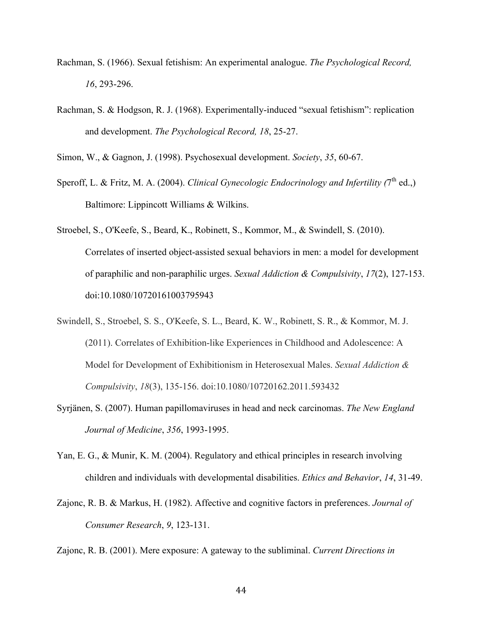- Rachman, S. (1966). Sexual fetishism: An experimental analogue. *The Psychological Record, 16*, 293-296.
- Rachman, S. & Hodgson, R. J. (1968). Experimentally-induced "sexual fetishism": replication and development. *The Psychological Record, 18*, 25-27.
- Simon, W., & Gagnon, J. (1998). Psychosexual development. *Society*, *35*, 60-67.
- Speroff, L. & Fritz, M. A. (2004). *Clinical Gynecologic Endocrinology and Infertility* (7<sup>th</sup> ed.,) Baltimore: Lippincott Williams & Wilkins.
- Stroebel, S., O'Keefe, S., Beard, K., Robinett, S., Kommor, M., & Swindell, S. (2010). Correlates of inserted object-assisted sexual behaviors in men: a model for development of paraphilic and non-paraphilic urges. *Sexual Addiction & Compulsivity*, *17*(2), 127-153. doi:10.1080/10720161003795943
- Swindell, S., Stroebel, S. S., O'Keefe, S. L., Beard, K. W., Robinett, S. R., & Kommor, M. J. (2011). Correlates of Exhibition-like Experiences in Childhood and Adolescence: A Model for Development of Exhibitionism in Heterosexual Males. *Sexual Addiction & Compulsivity*, *18*(3), 135-156. doi:10.1080/10720162.2011.593432
- Syrjänen, S. (2007). Human papillomaviruses in head and neck carcinomas. *The New England Journal of Medicine*, *356*, 1993-1995.
- Yan, E. G., & Munir, K. M. (2004). Regulatory and ethical principles in research involving children and individuals with developmental disabilities. *Ethics and Behavior*, *14*, 31-49.
- Zajonc, R. B. & Markus, H. (1982). Affective and cognitive factors in preferences. *Journal of Consumer Research*, *9*, 123-131.

Zajonc, R. B. (2001). Mere exposure: A gateway to the subliminal. *Current Directions in*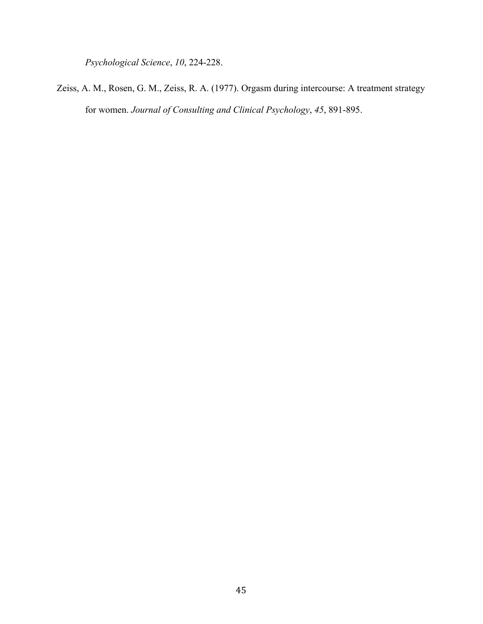*Psychological Science*, *10*, 224-228.

Zeiss, A. M., Rosen, G. M., Zeiss, R. A. (1977). Orgasm during intercourse: A treatment strategy for women. *Journal of Consulting and Clinical Psychology*, *45*, 891-895.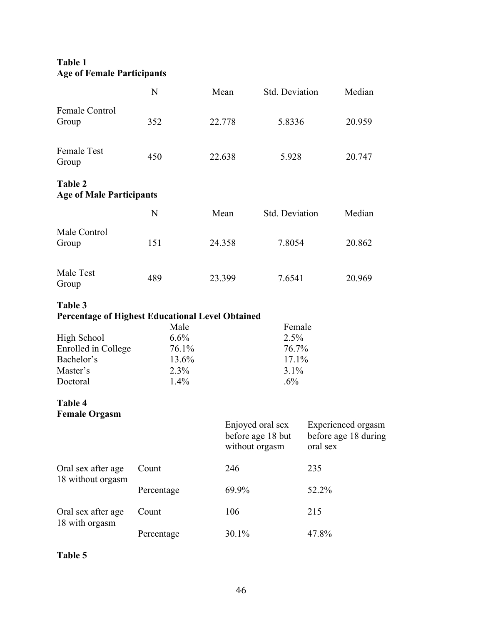## **Table 1 Age of Female Participants**

|                                                                                 | N                                              | Mean   | Std. Deviation                                  |          | Median                                     |
|---------------------------------------------------------------------------------|------------------------------------------------|--------|-------------------------------------------------|----------|--------------------------------------------|
| Female Control<br>Group                                                         | 352                                            | 22.778 | 5.8336                                          |          | 20.959                                     |
| <b>Female Test</b><br>Group                                                     | 450                                            | 22.638 | 5.928                                           |          | 20.747                                     |
| <b>Table 2</b><br><b>Age of Male Participants</b>                               |                                                |        |                                                 |          |                                            |
|                                                                                 | N                                              | Mean   | Std. Deviation                                  |          | Median                                     |
| Male Control<br>Group                                                           | 151                                            | 24.358 | 7.8054                                          |          | 20.862                                     |
| Male Test<br>Group                                                              | 489                                            | 23.399 | 7.6541                                          |          | 20.969                                     |
| Table 3<br><b>Percentage of Highest Educational Level Obtained</b>              |                                                |        |                                                 |          |                                            |
| <b>High School</b><br>Enrolled in College<br>Bachelor's<br>Master's<br>Doctoral | Male<br>6.6%<br>76.1%<br>13.6%<br>2.3%<br>1.4% |        | Female<br>2.5%<br>76.7%<br>17.1%<br>3.1%<br>.6% |          |                                            |
| Table 4<br><b>Female Orgasm</b>                                                 |                                                |        | Enjoyed oral sex<br>before age 18 but           |          | Experienced orgasm<br>before age 18 during |
|                                                                                 |                                                |        | without orgasm                                  | oral sex |                                            |
| Oral sex after age                                                              | Count                                          | 246    |                                                 | 235      |                                            |
| 18 without orgasm                                                               | Percentage                                     | 69.9%  |                                                 | 52.2%    |                                            |
| Oral sex after age                                                              | Count                                          | 106    |                                                 | 215      |                                            |
| 18 with orgasm                                                                  | Percentage                                     | 30.1%  |                                                 | 47.8%    |                                            |

**Table 5**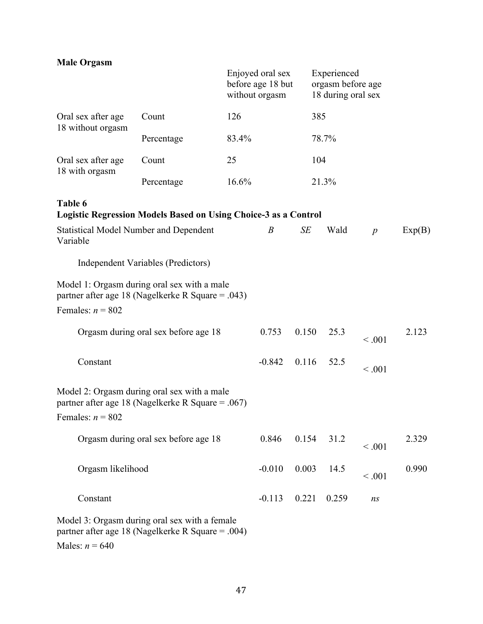| <b>Male Orgasm</b>                                                                                 |                                                                                                  |       |                                                         |       |                                                        |                  |        |
|----------------------------------------------------------------------------------------------------|--------------------------------------------------------------------------------------------------|-------|---------------------------------------------------------|-------|--------------------------------------------------------|------------------|--------|
|                                                                                                    |                                                                                                  |       | Enjoyed oral sex<br>before age 18 but<br>without orgasm |       | Experienced<br>orgasm before age<br>18 during oral sex |                  |        |
| Oral sex after age<br>18 without orgasm                                                            | Count                                                                                            | 126   |                                                         |       | 385                                                    |                  |        |
|                                                                                                    | Percentage                                                                                       | 83.4% |                                                         |       | 78.7%                                                  |                  |        |
| Oral sex after age<br>18 with orgasm                                                               | Count                                                                                            | 25    |                                                         |       | 104                                                    |                  |        |
|                                                                                                    | Percentage                                                                                       | 16.6% |                                                         |       | 21.3%                                                  |                  |        |
| Table 6                                                                                            | <b>Logistic Regression Models Based on Using Choice-3 as a Control</b>                           |       |                                                         |       |                                                        |                  |        |
| Variable                                                                                           | <b>Statistical Model Number and Dependent</b>                                                    |       | $\boldsymbol{B}$                                        | SE    | Wald                                                   | $\boldsymbol{p}$ | Exp(B) |
|                                                                                                    | Independent Variables (Predictors)                                                               |       |                                                         |       |                                                        |                  |        |
| Females: $n = 802$                                                                                 | Model 1: Orgasm during oral sex with a male<br>partner after age 18 (Nagelkerke R Square = .043) |       |                                                         |       |                                                        |                  |        |
|                                                                                                    | Orgasm during oral sex before age 18                                                             |       | 0.753                                                   | 0.150 | 25.3                                                   | < 0.001          | 2.123  |
| Constant                                                                                           |                                                                                                  |       | $-0.842$                                                | 0.116 | 52.5                                                   | < 0.001          |        |
| Females: $n = 802$                                                                                 | Model 2: Orgasm during oral sex with a male<br>partner after age 18 (Nagelkerke R Square = .067) |       |                                                         |       |                                                        |                  |        |
|                                                                                                    | Orgasm during oral sex before age 18                                                             |       | 0.846                                                   | 0.154 | 31.2                                                   | < 0.001          | 2.329  |
| Orgasm likelihood                                                                                  |                                                                                                  |       | $-0.010$                                                | 0.003 | 14.5                                                   | < 0.001          | 0.990  |
| Constant                                                                                           |                                                                                                  |       | $-0.113$                                                | 0.221 | 0.259                                                  | ns               |        |
| Model 3: Orgasm during oral sex with a female<br>partner after age 18 (Nagelkerke R Square = .004) |                                                                                                  |       |                                                         |       |                                                        |                  |        |

Males:  $n = 640$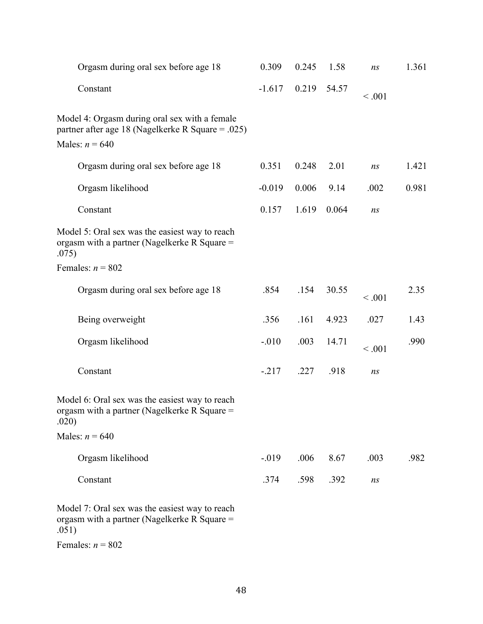| Orgasm during oral sex before age 18                                                                                   | 0.309    | 0.245 | 1.58  | ns      | 1.361 |
|------------------------------------------------------------------------------------------------------------------------|----------|-------|-------|---------|-------|
| Constant                                                                                                               | $-1.617$ | 0.219 | 54.57 | < 0.001 |       |
| Model 4: Orgasm during oral sex with a female<br>partner after age 18 (Nagelkerke R Square = .025)<br>Males: $n = 640$ |          |       |       |         |       |
| Orgasm during oral sex before age 18                                                                                   | 0.351    | 0.248 | 2.01  | ns      | 1.421 |
| Orgasm likelihood                                                                                                      | $-0.019$ | 0.006 | 9.14  | .002    | 0.981 |
| Constant                                                                                                               | 0.157    | 1.619 | 0.064 | ns      |       |
| Model 5: Oral sex was the easiest way to reach<br>orgasm with a partner (Nagelkerke R Square =<br>.075)                |          |       |       |         |       |
| Females: $n = 802$                                                                                                     |          |       |       |         |       |
| Orgasm during oral sex before age 18                                                                                   | .854     | .154  | 30.55 | < 0.001 | 2.35  |
| Being overweight                                                                                                       | .356     | .161  | 4.923 | .027    | 1.43  |
| Orgasm likelihood                                                                                                      | $-.010$  | .003  | 14.71 | < 0.001 | .990  |
| Constant                                                                                                               | $-217$   | .227  | .918  | ns      |       |
| Model 6: Oral sex was the easiest way to reach<br>orgasm with a partner (Nagelkerke R Square =<br>.020)                |          |       |       |         |       |
| Males: $n = 640$                                                                                                       |          |       |       |         |       |
| Orgasm likelihood                                                                                                      | $-019$   | .006  | 8.67  | .003    | .982  |
| Constant                                                                                                               | .374     | .598  | .392  | ns      |       |
| Model 7: Oral sex was the easiest way to reach<br>orgasm with a partner (Nagelkerke R Square =                         |          |       |       |         |       |

.051)

Females:  $n = 802$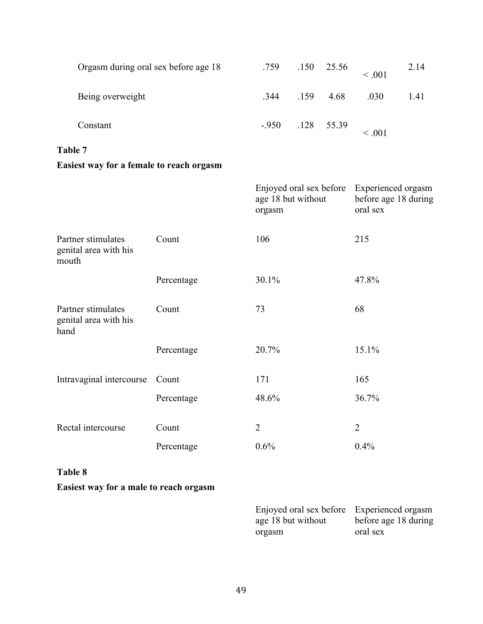| Orgasm during oral sex before age 18 | .759 | $.150 \quad 25.56$  | < 0.001 | 2.14 |
|--------------------------------------|------|---------------------|---------|------|
| Being overweight                     | .344 | $.159$ 4.68         | .030    | 1.41 |
| Constant                             |      | $-0.950$ .128 55.39 | < 0.001 |      |

## **Table 7**

## **Easiest way for a female to reach orgasm**

|                                                      |            | Enjoyed oral sex before<br>age 18 but without<br>orgasm | Experienced orgasm<br>before age 18 during<br>oral sex |
|------------------------------------------------------|------------|---------------------------------------------------------|--------------------------------------------------------|
| Partner stimulates<br>genital area with his<br>mouth | Count      | 106                                                     | 215                                                    |
|                                                      | Percentage | 30.1%                                                   | 47.8%                                                  |
| Partner stimulates<br>genital area with his<br>hand  | Count      | 73                                                      | 68                                                     |
|                                                      | Percentage | 20.7%                                                   | 15.1%                                                  |
| Intravaginal intercourse                             | Count      | 171                                                     | 165                                                    |
|                                                      | Percentage | 48.6%                                                   | 36.7%                                                  |
| Rectal intercourse                                   | Count      | $\overline{2}$                                          | $\overline{2}$                                         |
|                                                      | Percentage | 0.6%                                                    | 0.4%                                                   |
|                                                      |            |                                                         |                                                        |

## **Table 8**

## **Easiest way for a male to reach orgasm**

| Enjoyed oral sex before Experienced orgasm |                      |
|--------------------------------------------|----------------------|
| age 18 but without                         | before age 18 during |
| orgasm                                     | oral sex             |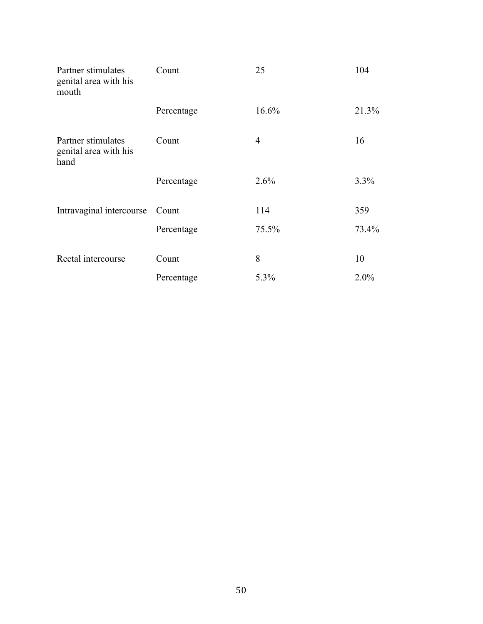| Partner stimulates<br>genital area with his<br>mouth | Count      | 25    | 104   |
|------------------------------------------------------|------------|-------|-------|
|                                                      | Percentage | 16.6% | 21.3% |
| Partner stimulates<br>genital area with his<br>hand  | Count      | 4     | 16    |
|                                                      | Percentage | 2.6%  | 3.3%  |
| Intravaginal intercourse                             | Count      | 114   | 359   |
|                                                      | Percentage | 75.5% | 73.4% |
| Rectal intercourse                                   | Count      | 8     | 10    |
|                                                      | Percentage | 5.3%  | 2.0%  |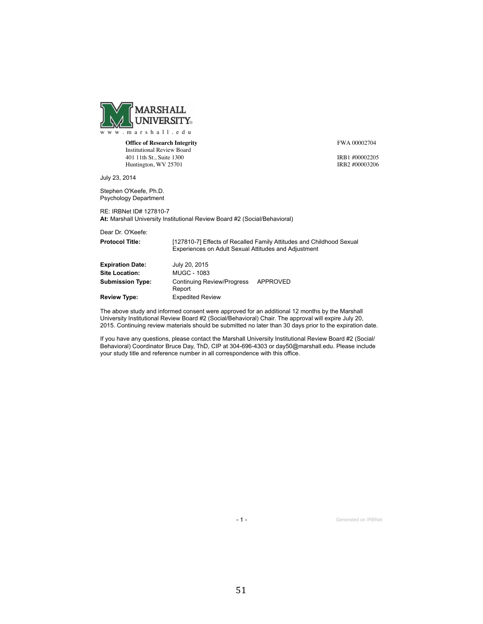

**Office of Research Integrity** Institutional Review Board 401 11th St., Suite 1300 Huntington, WV 25701

FWA 00002704

IRB1 #00002205 IRB2 #00003206

July 23, 2014

Stephen O'Keefe, Ph.D. Psychology Department

RE: IRBNet ID# 127810-7 At: Marshall University Institutional Review Board #2 (Social/Behavioral)

Dear Dr. O'Keefe:

| <b>Protocol Title:</b>  | [127810-7] Effects of Recalled Family Attitudes and Childhood Sexual<br>Experiences on Adult Sexual Attitudes and Adjustment |          |  |
|-------------------------|------------------------------------------------------------------------------------------------------------------------------|----------|--|
| <b>Expiration Date:</b> | July 20, 2015                                                                                                                |          |  |
| <b>Site Location:</b>   | MUGC - 1083                                                                                                                  |          |  |
| <b>Submission Type:</b> | <b>Continuing Review/Progress</b><br>Report                                                                                  | APPROVED |  |
| <b>Review Type:</b>     | <b>Expedited Review</b>                                                                                                      |          |  |
|                         |                                                                                                                              |          |  |

The above study and informed consent were approved for an additional 12 months by the Marshall University Institutional Review Board #2 (Social/Behavioral) Chair. The approval will expire July 20, 2015. Continuing review materials should be submitted no later than 30 days prior to the expiration date.

If you have any questions, please contact the Marshall University Institutional Review Board #2 (Social/ Behavioral) Coordinator Bruce Day, ThD, CIP at 304-696-4303 or day50@marshall.edu. Please include your study title and reference number in all correspondence with this office.

- 1 - Generated on IRBNet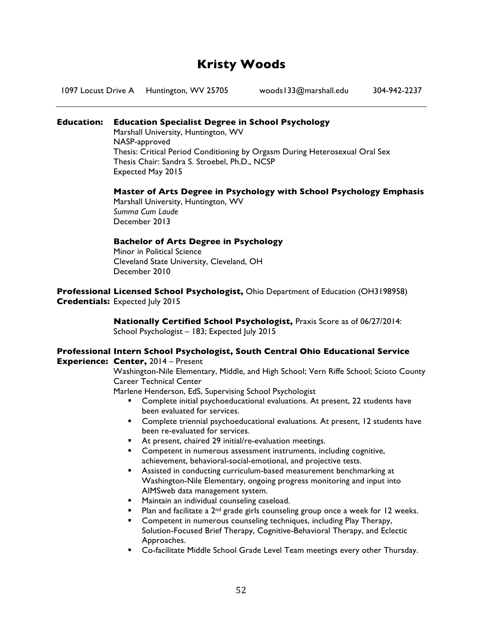## **Kristy Woods**

1097 Locust Drive A Huntington, WV 25705 woods133@marshall.edu 304-942-2237

#### **Education: Education Specialist Degree in School Psychology**

Marshall University, Huntington, WV NASP-approved Thesis: Critical Period Conditioning by Orgasm During Heterosexual Oral Sex Thesis Chair: Sandra S. Stroebel, Ph.D., NCSP Expected May 2015

#### **Master of Arts Degree in Psychology with School Psychology Emphasis**

Marshall University, Huntington, WV *Summa Cum Laude* December 2013

#### **Bachelor of Arts Degree in Psychology**

Minor in Political Science Cleveland State University, Cleveland, OH December 2010

**Professional Licensed School Psychologist,** Ohio Department of Education (OH3198958) **Credentials:** Expected July 2015

> **Nationally Certified School Psychologist,** Praxis Score as of 06/27/2014: School Psychologist - 183; Expected July 2015

#### **Professional Intern School Psychologist, South Central Ohio Educational Service Experience: Center,** 2014 – Present

Washington-Nile Elementary, Middle, and High School; Vern Riffe School; Scioto County Career Technical Center

Marlene Henderson, EdS, Supervising School Psychologist

- Complete initial psychoeducational evaluations. At present, 22 students have been evaluated for services.
- § Complete triennial psychoeducational evaluations. At present, 12 students have been re-evaluated for services.
- At present, chaired 29 initial/re-evaluation meetings.
- Competent in numerous assessment instruments, including cognitive, achievement, behavioral-social-emotional, and projective tests.
- Assisted in conducting curriculum-based measurement benchmarking at Washington-Nile Elementary, ongoing progress monitoring and input into AIMSweb data management system.
- Maintain an individual counseling caseload.
- Plan and facilitate a  $2^{nd}$  grade girls counseling group once a week for 12 weeks.
- Competent in numerous counseling techniques, including Play Therapy, Solution-Focused Brief Therapy, Cognitive-Behavioral Therapy, and Eclectic Approaches.
- Co-facilitate Middle School Grade Level Team meetings every other Thursday.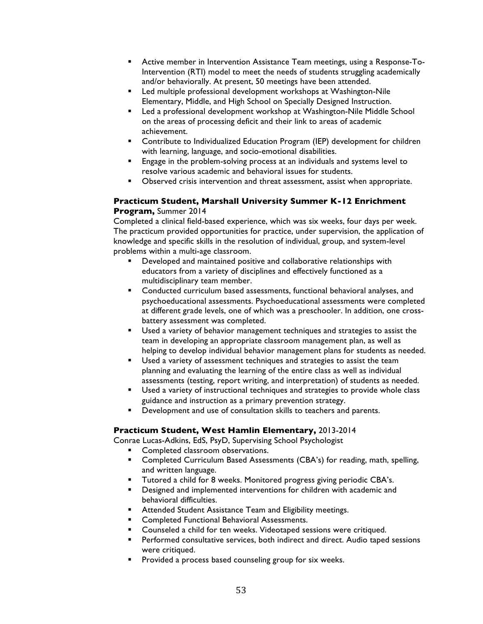- Active member in Intervention Assistance Team meetings, using a Response-To-Intervention (RTI) model to meet the needs of students struggling academically and/or behaviorally. At present, 50 meetings have been attended.
- Led multiple professional development workshops at Washington-Nile Elementary, Middle, and High School on Specially Designed Instruction.
- Led a professional development workshop at Washington-Nile Middle School on the areas of processing deficit and their link to areas of academic achievement.
- Contribute to Individualized Education Program (IEP) development for children with learning, language, and socio-emotional disabilities.
- Engage in the problem-solving process at an individuals and systems level to resolve various academic and behavioral issues for students.
- § Observed crisis intervention and threat assessment, assist when appropriate.

#### **Practicum Student, Marshall University Summer K-12 Enrichment Program,** Summer 2014

Completed a clinical field-based experience, which was six weeks, four days per week. The practicum provided opportunities for practice, under supervision, the application of knowledge and specific skills in the resolution of individual, group, and system-level problems within a multi-age classroom.

- Developed and maintained positive and collaborative relationships with educators from a variety of disciplines and effectively functioned as a multidisciplinary team member.
- Conducted curriculum based assessments, functional behavioral analyses, and psychoeducational assessments. Psychoeducational assessments were completed at different grade levels, one of which was a preschooler. In addition, one crossbattery assessment was completed.
- § Used a variety of behavior management techniques and strategies to assist the team in developing an appropriate classroom management plan, as well as helping to develop individual behavior management plans for students as needed.
- Used a variety of assessment techniques and strategies to assist the team planning and evaluating the learning of the entire class as well as individual assessments (testing, report writing, and interpretation) of students as needed.
- Used a variety of instructional techniques and strategies to provide whole class guidance and instruction as a primary prevention strategy.
- Development and use of consultation skills to teachers and parents.

#### **Practicum Student, West Hamlin Elementary,** 2013-2014

Conrae Lucas-Adkins, EdS, PsyD, Supervising School Psychologist

- § Completed classroom observations.
- Completed Curriculum Based Assessments (CBA's) for reading, math, spelling, and written language.
- § Tutored a child for 8 weeks. Monitored progress giving periodic CBA's.
- Designed and implemented interventions for children with academic and behavioral difficulties.
- Attended Student Assistance Team and Eligibility meetings.
- **Completed Functional Behavioral Assessments.**
- Counseled a child for ten weeks. Videotaped sessions were critiqued.
- Performed consultative services, both indirect and direct. Audio taped sessions were critiqued.
- **•** Provided a process based counseling group for six weeks.